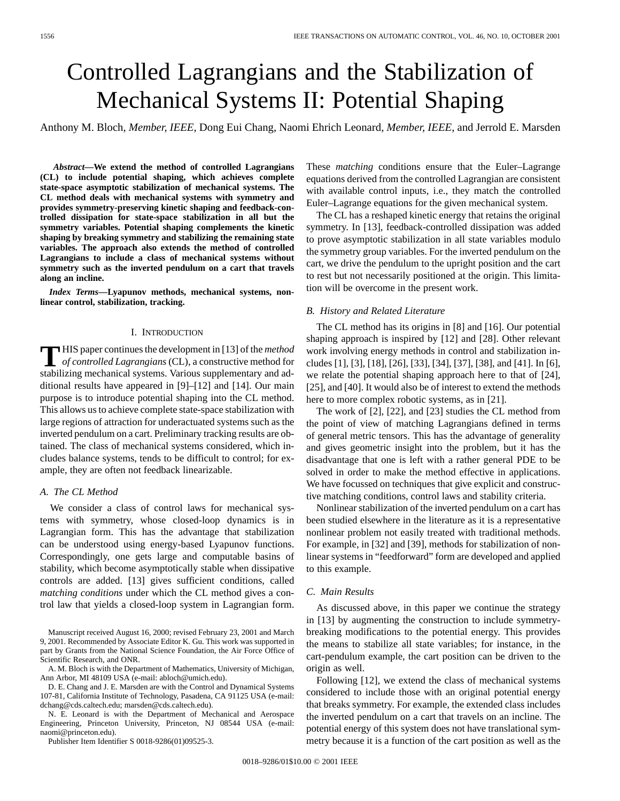# Controlled Lagrangians and the Stabilization of Mechanical Systems II: Potential Shaping

Anthony M. Bloch*, Member, IEEE*, Dong Eui Chang, Naomi Ehrich Leonard*, Member, IEEE*, and Jerrold E. Marsden

*Abstract—***We extend the method of controlled Lagrangians (CL) to include potential shaping, which achieves complete state-space asymptotic stabilization of mechanical systems. The CL method deals with mechanical systems with symmetry and provides symmetry-preserving kinetic shaping and feedback-controlled dissipation for state-space stabilization in all but the symmetry variables. Potential shaping complements the kinetic shaping by breaking symmetry and stabilizing the remaining state variables. The approach also extends the method of controlled Lagrangians to include a class of mechanical systems without symmetry such as the inverted pendulum on a cart that travels along an incline.**

*Index Terms—***Lyapunov methods, mechanical systems, nonlinear control, stabilization, tracking.**

### I. INTRODUCTION

**T** HIS paper continues the development in [13] of the *method of controlled Lagrangians* (CL), a constructive method for stabilizing mechanical systems. Various supplementary and additional results have appeared in [9]–[12] and [14]. Our main purpose is to introduce potential shaping into the CL method. This allows us to achieve complete state-space stabilization with large regions of attraction for underactuated systems such as the inverted pendulum on a cart. Preliminary tracking results are obtained. The class of mechanical systems considered, which includes balance systems, tends to be difficult to control; for example, they are often not feedback linearizable.

## *A. The CL Method*

We consider a class of control laws for mechanical systems with symmetry, whose closed-loop dynamics is in Lagrangian form. This has the advantage that stabilization can be understood using energy-based Lyapunov functions. Correspondingly, one gets large and computable basins of stability, which become asymptotically stable when dissipative controls are added. [13] gives sufficient conditions, called *matching conditions* under which the CL method gives a control law that yields a closed-loop system in Lagrangian form.

Manuscript received August 16, 2000; revised February 23, 2001 and March 9, 2001. Recommended by Associate Editor K. Gu. This work was supported in part by Grants from the National Science Foundation, the Air Force Office of Scientific Research, and ONR.

A. M. Bloch is with the Department of Mathematics, University of Michigan, Ann Arbor, MI 48109 USA (e-mail: abloch@umich.edu).

D. E. Chang and J. E. Marsden are with the Control and Dynamical Systems 107-81, California Institute of Technology, Pasadena, CA 91125 USA (e-mail: dchang@cds.caltech.edu; marsden@cds.caltech.edu).

N. E. Leonard is with the Department of Mechanical and Aerospace Engineering, Princeton University, Princeton, NJ 08544 USA (e-mail: naomi@princeton.edu).

Publisher Item Identifier S 0018-9286(01)09525-3.

These *matching* conditions ensure that the Euler–Lagrange equations derived from the controlled Lagrangian are consistent with available control inputs, i.e., they match the controlled Euler–Lagrange equations for the given mechanical system.

The CL has a reshaped kinetic energy that retains the original symmetry. In [13], feedback-controlled dissipation was added to prove asymptotic stabilization in all state variables modulo the symmetry group variables. For the inverted pendulum on the cart, we drive the pendulum to the upright position and the cart to rest but not necessarily positioned at the origin. This limitation will be overcome in the present work.

#### *B. History and Related Literature*

The CL method has its origins in [8] and [16]. Our potential shaping approach is inspired by [12] and [28]. Other relevant work involving energy methods in control and stabilization includes [1], [3], [18], [26], [33], [34], [37], [38], and [41]. In [6], we relate the potential shaping approach here to that of [24], [25], and [40]. It would also be of interest to extend the methods here to more complex robotic systems, as in [21].

The work of [2], [22], and [23] studies the CL method from the point of view of matching Lagrangians defined in terms of general metric tensors. This has the advantage of generality and gives geometric insight into the problem, but it has the disadvantage that one is left with a rather general PDE to be solved in order to make the method effective in applications. We have focussed on techniques that give explicit and constructive matching conditions, control laws and stability criteria.

Nonlinear stabilization of the inverted pendulum on a cart has been studied elsewhere in the literature as it is a representative nonlinear problem not easily treated with traditional methods. For example, in [32] and [39], methods for stabilization of nonlinear systems in "feedforward" form are developed and applied to this example.

#### *C. Main Results*

As discussed above, in this paper we continue the strategy in [13] by augmenting the construction to include symmetrybreaking modifications to the potential energy. This provides the means to stabilize all state variables; for instance, in the cart-pendulum example, the cart position can be driven to the origin as well.

Following [12], we extend the class of mechanical systems considered to include those with an original potential energy that breaks symmetry. For example, the extended class includes the inverted pendulum on a cart that travels on an incline. The potential energy of this system does not have translational symmetry because it is a function of the cart position as well as the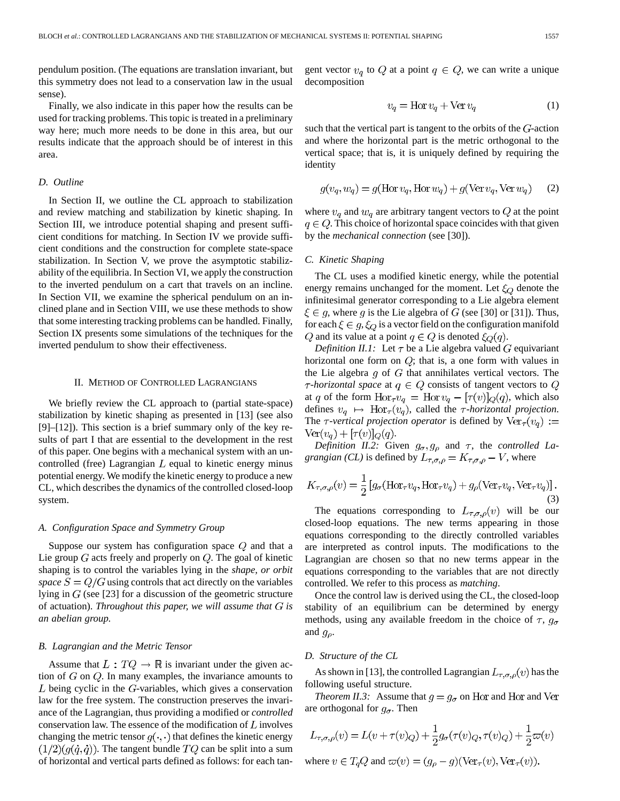pendulum position. (The equations are translation invariant, but this symmetry does not lead to a conservation law in the usual sense).

Finally, we also indicate in this paper how the results can be used for tracking problems. This topic is treated in a preliminary way here; much more needs to be done in this area, but our results indicate that the approach should be of interest in this area.

# *D. Outline*

In Section II, we outline the CL approach to stabilization and review matching and stabilization by kinetic shaping. In Section III, we introduce potential shaping and present sufficient conditions for matching. In Section IV we provide sufficient conditions and the construction for complete state-space stabilization. In Section V, we prove the asymptotic stabilizability of the equilibria. In Section VI, we apply the construction to the inverted pendulum on a cart that travels on an incline. In Section VII, we examine the spherical pendulum on an inclined plane and in Section VIII, we use these methods to show that some interesting tracking problems can be handled. Finally, Section IX presents some simulations of the techniques for the inverted pendulum to show their effectiveness.

#### II. METHOD OF CONTROLLED LAGRANGIANS

We briefly review the CL approach to (partial state-space) stabilization by kinetic shaping as presented in [13] (see also [9]–[12]). This section is a brief summary only of the key results of part I that are essential to the development in the rest of this paper. One begins with a mechanical system with an uncontrolled (free) Lagrangian  $L$  equal to kinetic energy minus potential energy. We modify the kinetic energy to produce a new CL, which describes the dynamics of the controlled closed-loop system.

#### *A. Configuration Space and Symmetry Group*

Suppose our system has configuration space  $Q$  and that a Lie group  $G$  acts freely and properly on  $Q$ . The goal of kinetic shaping is to control the variables lying in the *shape, or orbit space*  $S = Q/G$  using controls that act directly on the variables lying in  $G$  (see [23] for a discussion of the geometric structure of actuation). *Throughout this paper, we will assume that is an abelian group.*

#### *B. Lagrangian and the Metric Tensor*

Assume that  $L: TQ \to \mathbb{R}$  is invariant under the given action of  $G$  on  $Q$ . In many examples, the invariance amounts to  $L$  being cyclic in the  $G$ -variables, which gives a conservation law for the free system. The construction preserves the invariance of the Lagrangian, thus providing a modified or *controlled* conservation law. The essence of the modification of  $L$  involves changing the metric tensor  $g(\cdot, \cdot)$  that defines the kinetic energy  $(1/2)(g(\dot{q}, \dot{q}))$ . The tangent bundle  $TQ$  can be split into a sum of horizontal and vertical parts defined as follows: for each tangent vector  $v_q$  to Q at a point  $q \in Q$ , we can write a unique decomposition

$$
v_q = \text{Hor}\, v_q + \text{Ver}\, v_q \tag{1}
$$

such that the vertical part is tangent to the orbits of the  $G$ -action and where the horizontal part is the metric orthogonal to the vertical space; that is, it is uniquely defined by requiring the identity

$$
g(v_q, w_q) = g(\text{Hor } v_q, \text{Hor } w_q) + g(\text{Ver } v_q, \text{Ver } w_q) \tag{2}
$$

where  $v_q$  and  $w_q$  are arbitrary tangent vectors to Q at the point  $q \in Q$ . This choice of horizontal space coincides with that given by the *mechanical connection* (see [30]).

#### *C. Kinetic Shaping*

The CL uses a modified kinetic energy, while the potential energy remains unchanged for the moment. Let  $\xi_Q$  denote the infinitesimal generator corresponding to a Lie algebra element  $\xi \in g$ , where g is the Lie algebra of G (see [30] or [31]). Thus, for each  $\xi \in g, \xi_O$  is a vector field on the configuration manifold Q and its value at a point  $q \in Q$  is denoted  $\xi_Q(q)$ .

*Definition II.1:* Let  $\tau$  be a Lie algebra valued  $G$  equivariant horizontal one form on  $Q$ ; that is, a one form with values in the Lie algebra  $g$  of  $G$  that annihilates vertical vectors. The  $\tau$ -horizontal space at  $q \in Q$  consists of tangent vectors to Q at q of the form  $\text{Hor}_{\tau}v_q = \text{Hor} v_q - [\tau(v)]_Q(q)$ , which also defines  $v_q \mapsto \text{Hor}_{\tau}(v_q)$ , called the  $\tau$ -horizontal projection. The  $\tau$ -vertical projection operator is defined by  $\text{Ver}_{\tau}(v_q) :=$  $\text{Ver}(v_q) + [\tau(v)]_Q(q).$ 

*Definition II.2:* Given  $g_{\sigma}, g_{\rho}$  and  $\tau$ , the *controlled Lagrangian (CL)* is defined by  $L_{\tau,\sigma,\rho} = K_{\tau,\sigma,\rho} - V$ , where

$$
K_{\tau,\sigma,\rho}(v) = \frac{1}{2} \left[ g_{\sigma}(\text{Hor}_{\tau}v_q, \text{Hor}_{\tau}v_q) + g_{\rho}(\text{Ver}_{\tau}v_q, \text{Ver}_{\tau}v_q) \right].
$$
\n(3)

The equations corresponding to  $L_{\tau,\sigma,\rho}(v)$  will be our closed-loop equations. The new terms appearing in those equations corresponding to the directly controlled variables are interpreted as control inputs. The modifications to the Lagrangian are chosen so that no new terms appear in the equations corresponding to the variables that are not directly controlled. We refer to this process as *matching*.

Once the control law is derived using the CL, the closed-loop stability of an equilibrium can be determined by energy methods, using any available freedom in the choice of  $\tau$ ,  $g_{\sigma}$ and  $g_{\rho}$ .

#### *D. Structure of the CL*

As shown in [13], the controlled Lagrangian  $L_{\tau,\sigma,\rho}(v)$  has the following useful structure.

*Theorem II.3:* Assume that  $g = g_{\sigma}$  on Hor and Hor and Ver are orthogonal for  $q_{\sigma}$ . Then

$$
L_{\tau,\sigma,\rho}(v)=L(v+\tau(v)_{Q})+\frac{1}{2}g_{\sigma}(\tau(v)_{Q},\tau(v)_{Q})+\frac{1}{2}\varpi(v)
$$

where  $v \in T_q Q$  and  $\varpi(v) = (g_\rho - g)(\text{Ver}_\tau(v), \text{Ver}_\tau(v)).$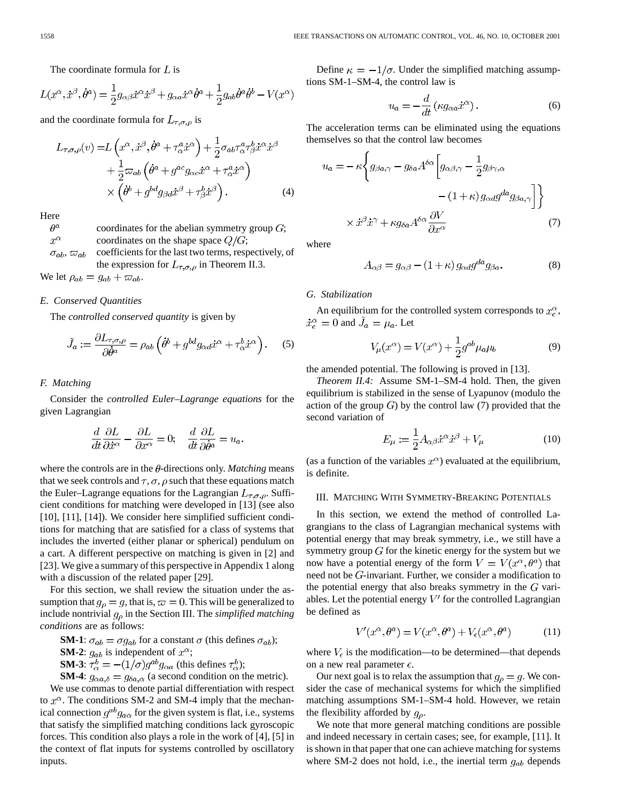The coordinate formula for  $L$  is

$$
L(x^{\alpha}, \dot{x}^{\beta}, \dot{\theta}^{a}) = \frac{1}{2} g_{\alpha\beta} \dot{x}^{\alpha} \dot{x}^{\beta} + g_{\alpha a} \dot{x}^{\alpha} \dot{\theta}^{a} + \frac{1}{2} g_{ab} \dot{\theta}^{a} \dot{\theta}^{b} - V(x^{\alpha})
$$

and the coordinate formula for  $L_{\tau,\sigma,\rho}$  is

$$
L_{\tau,\sigma,\rho}(v) = L\left(x^{\alpha}, \dot{x}^{\beta}, \dot{\theta}^{a} + \tau_{\alpha}^{a} \dot{x}^{\alpha}\right) + \frac{1}{2} \sigma_{ab} \tau_{\alpha}^{a} \tau_{\beta}^{b} \dot{x}^{\alpha} \dot{x}^{\beta} + \frac{1}{2} \varpi_{ab} \left(\dot{\theta}^{a} + g^{ac} g_{\alpha c} \dot{x}^{\alpha} + \tau_{\alpha}^{a} \dot{x}^{\alpha}\right) \times \left(\dot{\theta}^{b} + g^{bd} g_{\beta d} \dot{x}^{\beta} + \tau_{\beta}^{b} \dot{x}^{\beta}\right).
$$
 (4)

Here

 $\theta^a$ coordinates for the abelian symmetry group  $G$ ; coordinates on the shape space  $Q/G$ ;  $x^\alpha$  $\sigma_{ab}$ ,  $\varpi_{ab}$  coefficients for the last two terms, respectively, of the expression for  $L_{\tau,\sigma,\rho}$  in Theorem II.3.

We let  $\rho_{ab} = g_{ab} + \varpi_{ab}$ .

#### *E. Conserved Quantities*

The *controlled conserved quantity* is given by

$$
\tilde{J}_a := \frac{\partial L_{\tau,\sigma,\rho}}{\partial \dot{\theta}^a} = \rho_{ab} \left( \dot{\theta}^b + g^{bd} g_{\alpha d} \dot{x}^\alpha + \tau^b_\alpha \dot{x}^\alpha \right). \tag{5}
$$

#### *F. Matching*

Consider the *controlled Euler–Lagrange equations* for the given Lagrangian

$$
\frac{d}{dt}\frac{\partial L}{\partial \dot{x}^{\alpha}} - \frac{\partial L}{\partial x^{\alpha}} = 0; \quad \frac{d}{dt}\frac{\partial L}{\partial \dot{\theta}^{a}} = u_{a}.
$$

where the controls are in the  $\theta$ -directions only. *Matching* means that we seek controls and  $\tau$ ,  $\sigma$ ,  $\rho$  such that these equations match the Euler–Lagrange equations for the Lagrangian  $L_{\tau,\sigma,\rho}$ . Sufficient conditions for matching were developed in [13] (see also [10], [11], [14]). We consider here simplified sufficient conditions for matching that are satisfied for a class of systems that includes the inverted (either planar or spherical) pendulum on a cart. A different perspective on matching is given in [2] and [23]. We give a summary of this perspective in Appendix 1 along with a discussion of the related paper [29].

For this section, we shall review the situation under the assumption that  $g_{\rho} = g$ , that is,  $\varpi = 0$ . This will be generalized to include nontrivial  $g_{\rho}$  in the Section III. The *simplified matching conditions* are as follows:

**SM-1**: 
$$
\sigma_{ab} = \sigma g_{ab}
$$
 for a constant  $\sigma$  (this defines  $\sigma_{ab}$ );

**SM-2**:  $g_{ab}$  is independent of  $x^{\alpha}$ ;

**SM-3**: 
$$
\tau_{\alpha}^{b} = -(1/\sigma)g^{ab}g_{\alpha a}
$$
 (this defines  $\tau_{\alpha}^{b}$ );

**SM-4**:  $g_{\alpha a,\delta} = g_{\delta a,\alpha}$  (a second condition on the metric).

We use commas to denote partial differentiation with respect to  $x^{\alpha}$ . The conditions SM-2 and SM-4 imply that the mechanical connection  $g^{ab}g_{a\alpha}$  for the given system is flat, i.e., systems that satisfy the simplified matching conditions lack gyroscopic forces. This condition also plays a role in the work of [4], [5] in the context of flat inputs for systems controlled by oscillatory inputs.

Define  $\kappa = -1/\sigma$ . Under the simplified matching assumptions SM-1–SM-4, the control law is

$$
u_a = -\frac{d}{dt} \left( \kappa g_{\alpha a} \dot{x}^{\alpha} \right). \tag{6}
$$

The acceleration terms can be eliminated using the equations themselves so that the control law becomes

$$
u_{a} = -\kappa \left\{ g_{\beta a,\gamma} - g_{\delta a} A^{\delta \alpha} \left[ g_{\alpha \beta, \gamma} - \frac{1}{2} g_{\beta \gamma, \alpha} \right. \\ \left. - (1 + \kappa) g_{\alpha d} g^{da} g_{\beta a, \gamma} \right] \right\}
$$

$$
\times \dot{x}^{\beta} \dot{x}^{\gamma} + \kappa g_{\delta a} A^{\delta \alpha} \frac{\partial V}{\partial x^{\alpha}} \tag{7}
$$

where

$$
A_{\alpha\beta} = g_{\alpha\beta} - (1 + \kappa) g_{\alpha d} g^{da} g_{\beta a}.
$$
 (8)

## *G. Stabilization*

An equilibrium for the controlled system corresponds to  $x_e^{\alpha}$ ,  $\dot{x}_{e}^{\alpha}=0$  and  $\ddot{J}_{a}=\mu_{a}$ . Let

$$
V_{\mu}(x^{\alpha}) = V(x^{\alpha}) + \frac{1}{2}g^{ab}\mu_a\mu_b
$$
\n<sup>(9)</sup>

the amended potential. The following is proved in [13].

*Theorem II.4:* Assume SM-1–SM-4 hold. Then, the given equilibrium is stabilized in the sense of Lyapunov (modulo the action of the group  $G$ ) by the control law (7) provided that the second variation of

$$
E_{\mu} := \frac{1}{2} A_{\alpha\beta} \dot{x}^{\alpha} \dot{x}^{\beta} + V_{\mu}
$$
 (10)

(as a function of the variables  $x^{\alpha}$ ) evaluated at the equilibrium, is definite.

# III. MATCHING WITH SYMMETRY-BREAKING POTENTIALS

In this section, we extend the method of controlled Lagrangians to the class of Lagrangian mechanical systems with potential energy that may break symmetry, i.e., we still have a symmetry group  $G$  for the kinetic energy for the system but we now have a potential energy of the form  $V = V(x^{\alpha}, \theta^{\alpha})$  that need not be  $G$ -invariant. Further, we consider a modification to the potential energy that also breaks symmetry in the  $G$  variables. Let the potential energy  $V'$  for the controlled Lagrangian be defined as

$$
V'(x^{\alpha}, \theta^{a}) = V(x^{\alpha}, \theta^{a}) + V_{\epsilon}(x^{\alpha}, \theta^{a}) \tag{11}
$$

where  $V_{\epsilon}$  is the modification—to be determined—that depends on a new real parameter  $\epsilon$ .

Our next goal is to relax the assumption that  $g_{\rho} = g$ . We consider the case of mechanical systems for which the simplified matching assumptions SM-1–SM-4 hold. However, we retain the flexibility afforded by  $g_{\rho}$ .

We note that more general matching conditions are possible and indeed necessary in certain cases; see, for example, [11]. It is shown in that paper that one can achieve matching for systems where SM-2 does not hold, i.e., the inertial term  $g_{ab}$  depends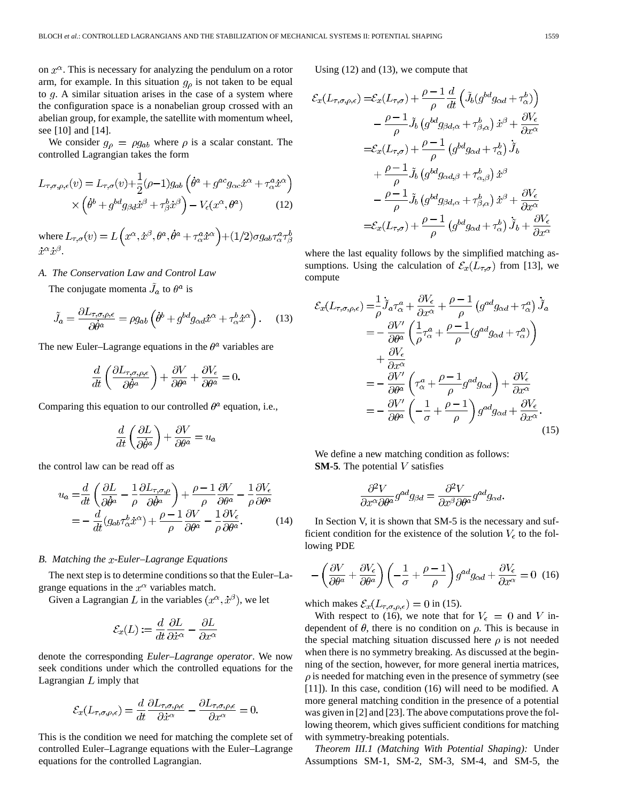on  $x^{\alpha}$ . This is necessary for analyzing the pendulum on a rotor arm, for example. In this situation  $g_{\rho}$  is not taken to be equal to  $g$ . A similar situation arises in the case of a system where the configuration space is a nonabelian group crossed with an abelian group, for example, the satellite with momentum wheel, see [10] and [14].

We consider  $g_{\rho} = \rho g_{ab}$  where  $\rho$  is a scalar constant. The controlled Lagrangian takes the form

$$
L_{\tau,\sigma,\rho,\epsilon}(v) = L_{\tau,\sigma}(v) + \frac{1}{2}(\rho - 1)g_{ab}\left(\dot{\theta}^a + g^{ac}g_{\alpha c}\dot{x}^\alpha + \tau_\alpha^a\dot{x}^\alpha\right) \times \left(\dot{\theta}^b + g^{bd}g_{\beta d}\dot{x}^\beta + \tau_\beta^b\dot{x}^\beta\right) - V_\epsilon(x^\alpha, \theta^a)
$$
(12)

where  $L_{\tau,\sigma}(v)=L\left(x^{\alpha},\dot{x}^{\beta},\theta^{a},\dot{\theta}^{a}+\tau^{a}_{\alpha}\dot{x}^{\alpha}\right)+(1/2)\sigma g_{ab}\tau^{a}_{\alpha}\tau^{b}_{\beta}$  $\dot{x}^{\alpha}\dot{x}^{\beta}$ .

# *A. The Conservation Law and Control Law*

The conjugate momenta  $\tilde{J}_a$  to  $\theta^a$  is

$$
\tilde{J}_a = \frac{\partial L_{\tau,\sigma,\rho,\epsilon}}{\partial \dot{\theta}^a} = \rho g_{ab} \left( \dot{\theta}^b + g^{bd} g_{\alpha d} \dot{x}^\alpha + \tau^b_\alpha \dot{x}^\alpha \right). \tag{13}
$$

The new Euler–Lagrange equations in the  $\theta^a$  variables are

$$
\frac{d}{dt}\left(\frac{\partial L_{\tau,\sigma,\rho,\epsilon}}{\partial \dot{\theta}^a}\right) + \frac{\partial V}{\partial \theta^a} + \frac{\partial V_{\epsilon}}{\partial \theta^a} = 0
$$

Comparing this equation to our controlled  $\theta^a$  equation, i.e.,

$$
\frac{d}{dt}\left(\frac{\partial L}{\partial \dot{\theta}^a}\right) + \frac{\partial V}{\partial \theta^a} = u_a
$$

the control law can be read off as

$$
u_{a} = \frac{d}{dt} \left( \frac{\partial L}{\partial \dot{\theta}^{a}} - \frac{1}{\rho} \frac{\partial L_{\tau,\sigma,\rho}}{\partial \dot{\theta}^{a}} \right) + \frac{\rho - 1}{\rho} \frac{\partial V}{\partial \theta^{a}} - \frac{1}{\rho} \frac{\partial V_{\epsilon}}{\partial \theta^{a}}
$$
  
= 
$$
- \frac{d}{dt} (g_{ab} \tau_{\alpha}^{b} \dot{x}^{\alpha}) + \frac{\rho - 1}{\rho} \frac{\partial V}{\partial \theta^{a}} - \frac{1}{\rho} \frac{\partial V_{\epsilon}}{\partial \theta^{a}}.
$$
(14)

#### *B. Matching the -Euler–Lagrange Equations*

The next step is to determine conditions so that the Euler–Lagrange equations in the  $x^{\alpha}$  variables match.

Given a Lagrangian L in the variables  $(x^{\alpha}, \dot{x}^{\beta})$ , we let

$$
\mathcal{E}_x(L) := \frac{d}{dt} \frac{\partial L}{\partial \dot{x}^\alpha} - \frac{\partial L}{\partial x^\alpha}
$$

denote the corresponding *Euler–Lagrange operator*. We now seek conditions under which the controlled equations for the Lagrangian  $L$  imply that

$$
\mathcal{E}_x(L_{\tau,\sigma,\rho,\epsilon}) = \frac{d}{dt} \frac{\partial L_{\tau,\sigma,\rho,\epsilon}}{\partial \dot{x}^\alpha} - \frac{\partial L_{\tau,\sigma,\rho,\epsilon}}{\partial x^\alpha} = 0.
$$

This is the condition we need for matching the complete set of controlled Euler–Lagrange equations with the Euler–Lagrange equations for the controlled Lagrangian.

Using (12) and (13), we compute that

$$
\mathcal{E}_{x}(L_{\tau,\sigma,\rho,\epsilon}) = \mathcal{E}_{x}(L_{\tau,\sigma}) + \frac{\rho - 1}{\rho} \frac{d}{dt} \left( \tilde{J}_{b}(g^{bd}g_{\alpha d} + \tau_{\alpha}^{b}) \right)
$$

$$
- \frac{\rho - 1}{\rho} \tilde{J}_{b}(g^{bd}g_{\beta d,\alpha} + \tau_{\beta,\alpha}^{b}) \dot{x}^{\beta} + \frac{\partial V_{\epsilon}}{\partial x^{\alpha}}
$$

$$
= \mathcal{E}_{x}(L_{\tau,\sigma}) + \frac{\rho - 1}{\rho} \left( g^{bd}g_{\alpha d} + \tau_{\alpha}^{b} \right) \tilde{J}_{b}
$$

$$
+ \frac{\rho - 1}{\rho} \tilde{J}_{b}(g^{bd}g_{\alpha d,\beta} + \tau_{\alpha,\beta}^{b}) \dot{x}^{\beta}
$$

$$
- \frac{\rho - 1}{\rho} \tilde{J}_{b}(g^{bd}g_{\beta d,\alpha} + \tau_{\beta,\alpha}^{b}) \dot{x}^{\beta} + \frac{\partial V_{\epsilon}}{\partial x^{\alpha}}
$$

$$
= \mathcal{E}_{x}(L_{\tau,\sigma}) + \frac{\rho - 1}{\rho} \left( g^{bd}g_{\alpha d} + \tau_{\alpha}^{b} \right) \tilde{J}_{b} + \frac{\partial V_{\epsilon}}{\partial x^{\alpha}}
$$

where the last equality follows by the simplified matching assumptions. Using the calculation of  $\mathcal{E}_x(L_{\tau,\sigma})$  from [13], we compute

$$
\mathcal{E}_{x}(L_{\tau,\sigma,\rho,\epsilon}) = \frac{1}{\rho} \tilde{J}_{a}\tau_{\alpha}^{a} + \frac{\partial V_{\epsilon}}{\partial x^{\alpha}} + \frac{\rho - 1}{\rho} \left( g^{ad}g_{\alpha d} + \tau_{\alpha}^{a} \right) \tilde{J}_{a}
$$
  
\n
$$
= -\frac{\partial V'}{\partial \theta^{a}} \left( \frac{1}{\rho} \tau_{\alpha}^{a} + \frac{\rho - 1}{\rho} \left( g^{ad}g_{\alpha d} + \tau_{\alpha}^{a} \right) \right)
$$
  
\n
$$
+ \frac{\partial V_{\epsilon}}{\partial x^{\alpha}}
$$
  
\n
$$
= -\frac{\partial V'}{\partial \theta^{a}} \left( \tau_{\alpha}^{a} + \frac{\rho - 1}{\rho} g^{ad}g_{\alpha d} \right) + \frac{\partial V_{\epsilon}}{\partial x^{\alpha}}
$$
  
\n
$$
= -\frac{\partial V'}{\partial \theta^{a}} \left( -\frac{1}{\sigma} + \frac{\rho - 1}{\rho} \right) g^{ad}g_{\alpha d} + \frac{\partial V_{\epsilon}}{\partial x^{\alpha}}.
$$
\n(15)

We define a new matching condition as follows: **SM-5***.* The potential  $V$  satisfies

$$
\frac{\partial^2 V}{\partial x^{\alpha} \partial \theta^{a}} g^{ad} g_{\beta d} = \frac{\partial^2 V}{\partial x^{\beta} \partial \theta^{a}} g^{ad} g_{\alpha d}.
$$

In Section V, it is shown that SM-5 is the necessary and sufficient condition for the existence of the solution  $V_{\epsilon}$  to the following PDE

$$
-\left(\frac{\partial V}{\partial \theta^a} + \frac{\partial V_{\epsilon}}{\partial \theta^a}\right)\left(-\frac{1}{\sigma} + \frac{\rho - 1}{\rho}\right)g^{ad}g_{\alpha d} + \frac{\partial V_{\epsilon}}{\partial x^{\alpha}} = 0 \tag{16}
$$

which makes  $\mathcal{E}_x(L_{\tau,\sigma,\rho,\epsilon}) = 0$  in (15).

With respect to (16), we note that for  $V_{\epsilon} = 0$  and V independent of  $\theta$ , there is no condition on  $\rho$ . This is because in the special matching situation discussed here  $\rho$  is not needed when there is no symmetry breaking. As discussed at the beginning of the section, however, for more general inertia matrices,  $\rho$  is needed for matching even in the presence of symmetry (see [11]). In this case, condition (16) will need to be modified. A more general matching condition in the presence of a potential was given in [2] and [23]. The above computations prove the following theorem, which gives sufficient conditions for matching with symmetry-breaking potentials.

*Theorem III.1 (Matching With Potential Shaping):* Under Assumptions SM-1, SM-2, SM-3, SM-4, and SM-5, the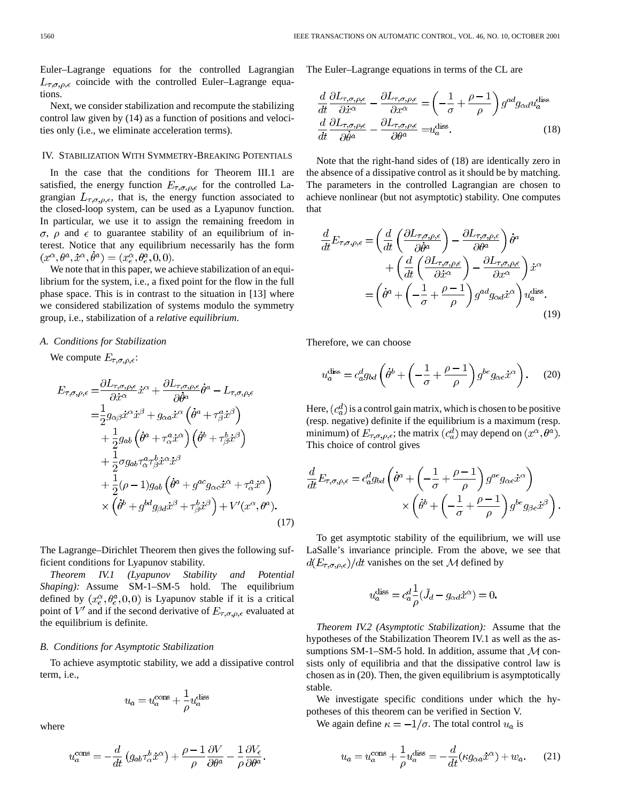Euler–Lagrange equations for the controlled Lagrangian  $L_{\tau,\sigma,\rho,\epsilon}$  coincide with the controlled Euler–Lagrange equations.

Next, we consider stabilization and recompute the stabilizing control law given by (14) as a function of positions and velocities only (i.e., we eliminate acceleration terms).

# IV. STABILIZATION WITH SYMMETRY-BREAKING POTENTIALS

In the case that the conditions for Theorem III.1 are satisfied, the energy function  $E_{\tau,\sigma,\rho,\epsilon}$  for the controlled Lagrangian  $L_{\tau,\sigma,\rho,\epsilon}$ , that is, the energy function associated to the closed-loop system, can be used as a Lyapunov function. In particular, we use it to assign the remaining freedom in  $\sigma$ ,  $\rho$  and  $\epsilon$  to guarantee stability of an equilibrium of interest. Notice that any equilibrium necessarily has the form  $(x^{\alpha},\theta^a,\dot{x}^{\alpha},\dot{\theta}^a)=(x_e^{\alpha},\theta_e^a,0,0).$ 

We note that in this paper, we achieve stabilization of an equilibrium for the system, i.e., a fixed point for the flow in the full phase space. This is in contrast to the situation in [13] where we considered stabilization of systems modulo the symmetry group, i.e., stabilization of a *relative equilibrium*.

#### *A. Conditions for Stabilization*

We compute  $E_{\tau,\sigma,\rho,\epsilon}$ :

$$
E_{\tau,\sigma,\rho,\epsilon} = \frac{\partial L_{\tau,\sigma,\rho,\epsilon}}{\partial \dot{x}^{\alpha}} \dot{x}^{\alpha} + \frac{\partial L_{\tau,\sigma,\rho,\epsilon}}{\partial \dot{\theta}^{a}} \dot{\theta}^{a} - L_{\tau,\sigma,\rho,\epsilon}
$$
  
\n
$$
= \frac{1}{2} g_{\alpha\beta} \dot{x}^{\alpha} \dot{x}^{\beta} + g_{\alpha a} \dot{x}^{\alpha} \left( \dot{\theta}^{a} + \tau_{\beta}^{a} \dot{x}^{\beta} \right)
$$
  
\n
$$
+ \frac{1}{2} g_{ab} \left( \dot{\theta}^{a} + \tau_{\alpha}^{a} \dot{x}^{\alpha} \right) \left( \dot{\theta}^{b} + \tau_{\beta}^{b} \dot{x}^{\beta} \right)
$$
  
\n
$$
+ \frac{1}{2} \sigma g_{ab} \tau_{\alpha}^{a} \tau_{\beta}^{b} \dot{x}^{\alpha} \dot{x}^{\beta}
$$
  
\n
$$
+ \frac{1}{2} (\rho - 1) g_{ab} \left( \dot{\theta}^{a} + g^{ac} g_{\alpha c} \dot{x}^{\alpha} + \tau_{\alpha}^{a} \dot{x}^{\alpha} \right)
$$
  
\n
$$
\times \left( \dot{\theta}^{b} + g^{bd} g_{\beta d} \dot{x}^{\beta} + \tau_{\beta}^{b} \dot{x}^{\beta} \right) + V'(x^{\alpha}, \theta^{a}).
$$
\n(17)

The Lagrange–Dirichlet Theorem then gives the following sufficient conditions for Lyapunov stability.

*Theorem IV.1 (Lyapunov Stability and Potential Shaping):* Assume SM-1–SM-5 hold. The equilibrium defined by  $(x_e^{\alpha}, \theta_e^a, 0, 0)$  is Lyapunov stable if it is a critical point of V' and if the second derivative of  $E_{\tau,\sigma,\rho,\epsilon}$  evaluated at the equilibrium is definite.

#### *B. Conditions for Asymptotic Stabilization*

To achieve asymptotic stability, we add a dissipative control term, i.e.,

$$
u_a = u_a^{\text{cons}} + \frac{1}{\rho} u_a^{\text{diss}}
$$

where

$$
u_a^{\text{cons}} = -\frac{d}{dt} \left( g_{ab} \tau_\alpha^b \dot{x}^\alpha \right) + \frac{\rho - 1}{\rho} \frac{\partial V}{\partial \theta^a} - \frac{1}{\rho} \frac{\partial V_\epsilon}{\partial \theta^a}
$$

The Euler–Lagrange equations in terms of the CL are

$$
\frac{d}{dt}\frac{\partial L_{\tau,\sigma,\rho,\epsilon}}{\partial \dot{x}^{\alpha}} - \frac{\partial L_{\tau,\sigma,\rho,\epsilon}}{\partial x^{\alpha}} = \left(-\frac{1}{\sigma} + \frac{\rho - 1}{\rho}\right)g^{ad}g_{\alpha d}u_{a}^{\text{diss}}
$$
\n
$$
\frac{d}{dt}\frac{\partial L_{\tau,\sigma,\rho,\epsilon}}{\partial \dot{\theta}^{a}} - \frac{\partial L_{\tau,\sigma,\rho,\epsilon}}{\partial \theta^{a}} = u_{a}^{\text{diss}}.
$$
\n(18)

Note that the right-hand sides of (18) are identically zero in the absence of a dissipative control as it should be by matching. The parameters in the controlled Lagrangian are chosen to achieve nonlinear (but not asymptotic) stability. One computes that

$$
\frac{d}{dt} E_{\tau,\sigma,\rho,\epsilon} = \left( \frac{d}{dt} \left( \frac{\partial L_{\tau,\sigma,\rho,\epsilon}}{\partial \dot{\theta}^a} \right) - \frac{\partial L_{\tau,\sigma,\rho,\epsilon}}{\partial \theta^a} \right) \dot{\theta}^a \n+ \left( \frac{d}{dt} \left( \frac{\partial L_{\tau,\sigma,\rho,\epsilon}}{\partial \dot{x}^\alpha} \right) - \frac{\partial L_{\tau,\sigma,\rho,\epsilon}}{\partial x^\alpha} \right) \dot{x}^\alpha \n= \left( \dot{\theta}^a + \left( -\frac{1}{\sigma} + \frac{\rho - 1}{\rho} \right) g^{ad} g_{\alpha d} \dot{x}^\alpha \right) u_a^{\text{diss}}.
$$
\n(19)

Therefore, we can choose

$$
u_a^{\text{diss}} = c_a^d g_{bd} \left( \dot{\theta}^b + \left( -\frac{1}{\sigma} + \frac{\rho - 1}{\rho} \right) g^{be} g_{\alpha e} \dot{x}^\alpha \right). \tag{20}
$$

Here,  $(c_a^d)$  is a control gain matrix, which is chosen to be positive (resp. negative) definite if the equilibrium is a maximum (resp. minimum) of  $E_{\tau,\sigma,\rho,\epsilon}$ ; the matrix  $(c_a^d)$  may depend on  $(x^\alpha, \theta^a)$ . This choice of control gives

$$
\frac{d}{dt} E_{\tau,\sigma,\rho,\epsilon} = c_a^d g_{bd} \left( \dot{\theta}^a + \left( -\frac{1}{\sigma} + \frac{\rho - 1}{\rho} \right) g^{ae} g_{\alpha e} \dot{x}^{\alpha} \right) \times \left( \dot{\theta}^b + \left( -\frac{1}{\sigma} + \frac{\rho - 1}{\rho} \right) g^{be} g_{\beta e} \dot{x}^{\beta} \right).
$$

To get asymptotic stability of the equilibrium, we will use LaSalle's invariance principle. From the above, we see that  $d(E_{\tau,\sigma,\rho,\epsilon})/dt$  vanishes on the set M defined by

$$
u_a^{\text{diss}} = c_a^d \frac{1}{\rho} (\tilde{J}_d - g_{\alpha d} \dot{x}^\alpha) = 0.
$$

*Theorem IV.2 (Asymptotic Stabilization):* Assume that the hypotheses of the Stabilization Theorem IV.1 as well as the assumptions SM-1–SM-5 hold. In addition, assume that  $M$  consists only of equilibria and that the dissipative control law is chosen as in (20). Then, the given equilibrium is asymptotically stable.

We investigate specific conditions under which the hypotheses of this theorem can be verified in Section V.

We again define  $\kappa = -1/\sigma$ . The total control  $u_a$  is

$$
u_a = u_a^{\text{cons}} + \frac{1}{\rho} u_a^{\text{diss}} = -\frac{d}{dt} (\kappa g_{\alpha a} \dot{x}^{\alpha}) + w_a. \tag{21}
$$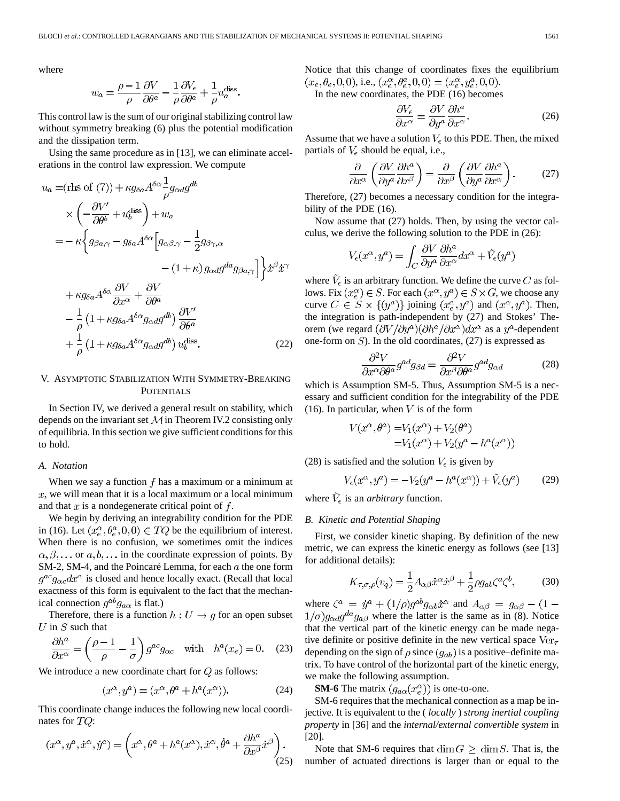where

$$
w_a = \frac{\rho - 1}{\rho} \frac{\partial V}{\partial \theta^a} - \frac{1}{\rho} \frac{\partial V_{\epsilon}}{\partial \theta^a} + \frac{1}{\rho} u_a^{\text{diss}}.
$$

This control law is the sum of our original stabilizing control law without symmetry breaking (6) plus the potential modification and the dissipation term.

Using the same procedure as in [13], we can eliminate accelerations in the control law expression. We compute

$$
u_{a} = (\text{rhs of } (7)) + \kappa g_{\delta a} A^{\delta \alpha} \frac{1}{\rho} g_{\alpha d} g^{db}
$$
  
\n
$$
\times \left( -\frac{\partial V'}{\partial \theta^{b}} + u_{b}^{\text{diss}} \right) + w_{a}
$$
  
\n
$$
= -\kappa \left\{ g_{\beta a, \gamma} - g_{\delta a} A^{\delta \alpha} \left[ g_{\alpha \beta, \gamma} - \frac{1}{2} g_{\beta \gamma, \alpha} - (1 + \kappa) g_{\alpha d} g^{da} g_{\beta a, \gamma} \right] \right\} \dot{x}^{\beta} \dot{x}^{\gamma}
$$
  
\n
$$
+ \kappa g_{\delta a} A^{\delta \alpha} \frac{\partial V}{\partial x^{\alpha}} + \frac{\partial V}{\partial \theta^{a}}
$$
  
\n
$$
- \frac{1}{\rho} \left( 1 + \kappa g_{\delta a} A^{\delta \alpha} g_{\alpha d} g^{db} \right) \frac{\partial V'}{\partial \theta^{a}}
$$
  
\n
$$
+ \frac{1}{\rho} \left( 1 + \kappa g_{\delta a} A^{\delta \alpha} g_{\alpha d} g^{db} \right) u_{b}^{\text{diss}}.
$$
 (22)

# V. ASYMPTOTIC STABILIZATION WITH SYMMETRY-BREAKING **POTENTIALS**

In Section IV, we derived a general result on stability, which depends on the invariant set  $M$  in Theorem IV.2 consisting only of equilibria. In this section we give sufficient conditions for this to hold.

#### *A. Notation*

When we say a function  $f$  has a maximum or a minimum at  $x$ , we will mean that it is a local maximum or a local minimum and that  $x$  is a nondegenerate critical point of  $f$ .

We begin by deriving an integrability condition for the PDE in (16). Let  $(x_e^{\alpha}, \theta_e^{\alpha}, 0, 0) \in TQ$  be the equilibrium of interest. When there is no confusion, we sometimes omit the indices  $\alpha, \beta, \ldots$  or  $a, b, \ldots$  in the coordinate expression of points. By SM-2, SM-4, and the Poincaré Lemma, for each  $a$  the one form  $g^{ac}g_{\alpha c}dx^{\alpha}$  is closed and hence locally exact. (Recall that local exactness of this form is equivalent to the fact that the mechanical connection  $g^{ab}g_{a\alpha}$  is flat.)

Therefore, there is a function  $h: U \to g$  for an open subset  $U$  in  $S$  such that

$$
\frac{\partial h^a}{\partial x^\alpha} = \left(\frac{\rho - 1}{\rho} - \frac{1}{\sigma}\right) g^{ac} g_{\alpha c} \quad \text{with} \quad h^a(x_e) = 0. \tag{23}
$$

We introduce a new coordinate chart for  $Q$  as follows:

$$
(x^{\alpha}, y^{a}) = (x^{\alpha}, \theta^{a} + h^{a}(x^{\alpha})). \tag{24}
$$

This coordinate change induces the following new local coordinates for  $TQ$ :

$$
(x^{\alpha}, y^{a}, \dot{x}^{\alpha}, \dot{y}^{a}) = \left(x^{\alpha}, \theta^{a} + h^{a}(x^{\alpha}), \dot{x}^{\alpha}, \dot{\theta}^{a} + \frac{\partial h^{a}}{\partial x^{\beta}} \dot{x}^{\beta}\right).
$$
\n(25)

Notice that this change of coordinates fixes the equilibrium  $(x_e, \theta_e, 0, 0)$ , i.e.,  $(x_e^{\alpha}, \theta_e^{\alpha}, 0, 0) = (x_e^{\alpha}, y_e^{\alpha}, 0, 0)$ .

In the new coordinates, the PDE (16) becomes

$$
\frac{\partial V_{\epsilon}}{\partial x^{\alpha}} = \frac{\partial V}{\partial y^{a}} \frac{\partial h^{a}}{\partial x^{\alpha}}.
$$
 (26)

Assume that we have a solution  $V_{\epsilon}$  to this PDE. Then, the mixed partials of  $V_{\epsilon}$  should be equal, i.e.,

$$
\frac{\partial}{\partial x^{\alpha}} \left( \frac{\partial V}{\partial y^{a}} \frac{\partial h^{a}}{\partial x^{\beta}} \right) = \frac{\partial}{\partial x^{\beta}} \left( \frac{\partial V}{\partial y^{a}} \frac{\partial h^{a}}{\partial x^{\alpha}} \right). \tag{27}
$$

Therefore, (27) becomes a necessary condition for the integrability of the PDE (16).

Now assume that (27) holds. Then, by using the vector calculus, we derive the following solution to the PDE in (26):

$$
V_{\epsilon}(x^{\alpha}, y^a) = \int_C \frac{\partial V}{\partial y^a} \frac{\partial h^a}{\partial x^{\alpha}} dx^{\alpha} + \tilde{V}_{\epsilon}(y^a)
$$

where  $\tilde{V}_{\epsilon}$  is an arbitrary function. We define the curve C as follows. Fix  $(x_e^{\alpha}) \in S$ . For each  $(x^{\alpha}, y^{\alpha}) \in S \times G$ , we choose any curve  $C \in S \times \{(y^a)\}\$ ioining  $(x_e^{\alpha}, y^a)$  and  $(x^{\alpha}, y^a)$ . Then, the integration is path-independent by (27) and Stokes' Theorem (we regard  $(\partial V/\partial y^a)(\partial h^a/\partial x^\alpha)dx^\alpha$  as a  $y^a$ -dependent one-form on  $S$ ). In the old coordinates, (27) is expressed as

$$
\frac{\partial^2 V}{\partial x^{\alpha} \partial \theta^a} g^{ad} g_{\beta d} = \frac{\partial^2 V}{\partial x^{\beta} \partial \theta^a} g^{ad} g_{\alpha d} \tag{28}
$$

which is Assumption SM-5. Thus, Assumption SM-5 is a necessary and sufficient condition for the integrability of the PDE (16). In particular, when  $V$  is of the form

$$
V(x^{\alpha}, \theta^{a}) = V_1(x^{\alpha}) + V_2(\theta^{a})
$$
  
=  $V_1(x^{\alpha}) + V_2(y^a - h^a(x^{\alpha}))$ 

(28) is satisfied and the solution  $V_{\epsilon}$  is given by

$$
V_{\epsilon}(x^{\alpha}, y^{a}) = -V_{2}(y^{a} - h^{a}(x^{\alpha})) + \tilde{V}_{\epsilon}(y^{a})
$$
 (29)

where  $\tilde{V}_{\epsilon}$  is an *arbitrary* function.

#### *B. Kinetic and Potential Shaping*

First, we consider kinetic shaping. By definition of the new metric, we can express the kinetic energy as follows (see [13] for additional details):

$$
K_{\tau,\sigma,\rho}(v_q) = \frac{1}{2} A_{\alpha\beta} \dot{x}^\alpha \dot{x}^\beta + \frac{1}{2} \rho g_{ab} \zeta^a \zeta^b, \qquad (30)
$$

where  $\zeta^a = \dot{y}^a + (1/\rho)g^{ab}g_{\alpha b}\dot{x}^{\alpha}$  and  $A_{\alpha\beta} = g_{\alpha\beta} - (1 1/\sigma)g_{\alpha d}g^{da}g_{\alpha\beta}$  where the latter is the same as in (8). Notice that the vertical part of the kinetic energy can be made negative definite or positive definite in the new vertical space  $Ver_{\tau}$ depending on the sign of  $\rho$  since  $(g_{ab})$  is a positive–definite matrix. To have control of the horizontal part of the kinetic energy, we make the following assumption.

**SM-6** The matrix  $(g_{a\alpha}(x_e^{\alpha}))$  is one-to-one.

SM-6 requires that the mechanical connection as a map be injective. It is equivalent to the ( *locally* ) *strong inertial coupling property* in [36] and the *internal/external convertible system* in [20].

Note that SM-6 requires that  $\dim G \ge \dim S$ . That is, the number of actuated directions is larger than or equal to the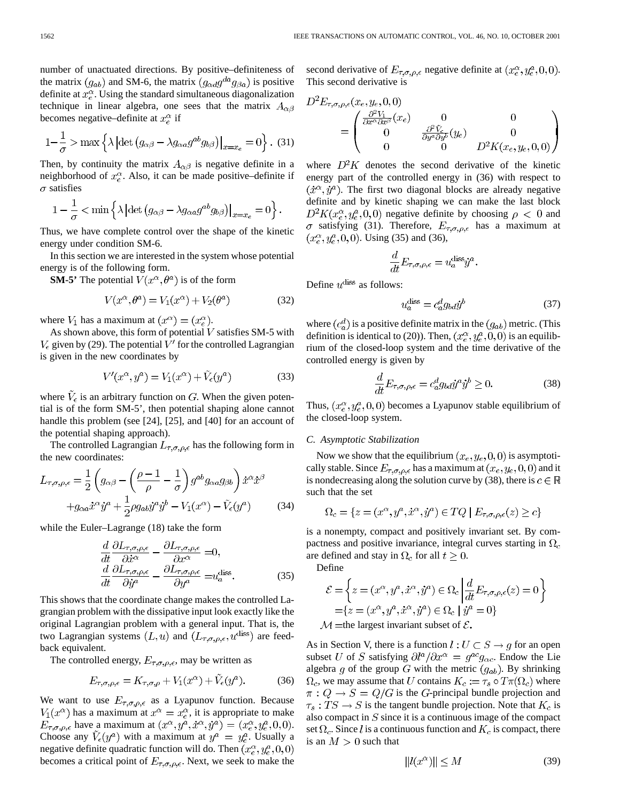number of unactuated directions. By positive–definiteness of the matrix  $(g_{ab})$  and SM-6, the matrix  $(g_{\alpha d}g^{da}g_{\beta a})$  is positive definite at  $x_e^{\alpha}$ . Using the standard simultaneous diagonalization technique in linear algebra, one sees that the matrix  $A_{\alpha\beta}$ becomes negative–definite at  $x_e^{\alpha}$  if

$$
1 - \frac{1}{\sigma} > \max\left\{\lambda \left| \det \left(g_{\alpha\beta} - \lambda g_{\alpha a} g^{ab} g_{b\beta}\right)\right|_{x=x_e} = 0\right\}.
$$
 (31)

Then, by continuity the matrix  $A_{\alpha\beta}$  is negative definite in a neighborhood of  $x_e^{\alpha}$ . Also, it can be made positive–definite if  $\sigma$  satisfies

$$
1 - \frac{1}{\sigma} < \min \left\{ \lambda \left| \det \left( g_{\alpha\beta} - \lambda g_{\alpha a} g^{ab} g_{b\beta} \right) \right|_{x=x_e} = 0 \right\}.
$$

Thus, we have complete control over the shape of the kinetic energy under condition SM-6.

In this section we are interested in the system whose potential energy is of the following form.

**SM-5'** The potential  $V(x^{\alpha}, \theta^{\alpha})$  is of the form

$$
V(x^{\alpha}, \theta^{a}) = V_1(x^{\alpha}) + V_2(\theta^{a})
$$
\n(32)

where  $V_1$  has a maximum at  $(x^{\alpha}) = (x^{\alpha}_e)$ .

As shown above, this form of potential  $V$  satisfies SM-5 with  $V_{\epsilon}$  given by (29). The potential  $V'$  for the controlled Lagrangian is given in the new coordinates by

$$
V'(x^{\alpha}, y^a) = V_1(x^{\alpha}) + \tilde{V}_e(y^a)
$$
 (33)

where  $\tilde{V}_{\epsilon}$  is an arbitrary function on G. When the given potential is of the form SM-5', then potential shaping alone cannot handle this problem (see [24], [25], and [40] for an account of the potential shaping approach).

The controlled Lagrangian  $L_{\tau,\sigma,\rho,\epsilon}$  has the following form in the new coordinates:

$$
L_{\tau,\sigma,\rho,\epsilon} = \frac{1}{2} \left( g_{\alpha\beta} - \left( \frac{\rho - 1}{\rho} - \frac{1}{\sigma} \right) g^{ab} g_{\alpha a} g_{\beta b} \right) \dot{x}^{\alpha} \dot{x}^{\beta} + g_{\alpha a} \dot{x}^{\alpha} \dot{y}^{a} + \frac{1}{2} \rho g_{ab} \dot{y}^{a} \dot{y}^{b} - V_1(x^{\alpha}) - \tilde{V}_{\epsilon}(y^{a})
$$
(34)

while the Euler–Lagrange (18) take the form

$$
\frac{d}{dt}\frac{\partial L_{\tau,\sigma,\rho,\epsilon}}{\partial \dot{x}^{\alpha}} - \frac{\partial L_{\tau,\sigma,\rho,\epsilon}}{\partial x^{\alpha}} = 0, \n\frac{d}{dt}\frac{\partial L_{\tau,\sigma,\rho,\epsilon}}{\partial \dot{y}^a} - \frac{\partial L_{\tau,\sigma,\rho,\epsilon}}{\partial y^a} = u_a^{\text{diss}}.
$$
\n(35)

This shows that the coordinate change makes the controlled Lagrangian problem with the dissipative input look exactly like the original Lagrangian problem with a general input. That is, the two Lagrangian systems  $(L, u)$  and  $(L_{\tau, \sigma, \rho, \epsilon}, u^{\text{diss}})$  are feedback equivalent.

The controlled energy,  $E_{\tau,\sigma,\rho,\epsilon}$ , may be written as

$$
E_{\tau,\sigma,\rho,\epsilon} = K_{\tau,\sigma,\rho} + V_1(x^{\alpha}) + \tilde{V}_{\epsilon}(y^a). \tag{36}
$$

We want to use  $E_{\tau,\sigma,\rho,\epsilon}$  as a Lyapunov function. Because  $V_1(x^{\alpha})$  has a maximum at  $x^{\alpha} = x_e^{\alpha}$ , it is appropriate to make  $E^{\sim}_{\tau,\sigma,\rho,\epsilon}$  have a maximum at  $(x^{\alpha}, y^{\alpha}, x^{\alpha}, y^{\alpha}) = (x^{\alpha}_{\epsilon}, y^{\alpha}_{\epsilon}, 0, 0).$ Choose any  $V_{\epsilon}(y^a)$  with a maximum at  $y^a = y^a_{\epsilon}$ . Usually a negative definite quadratic function will do. Then  $(x_e^{\alpha}, y_e^{\alpha}, 0, 0)$ becomes a critical point of  $E_{\tau,\sigma,\rho,\epsilon}$ . Next, we seek to make the second derivative of  $E_{\tau,\sigma,\rho,\epsilon}$  negative definite at  $(x_e^{\alpha}, y_e^a, 0, 0)$ . This second derivative is

$$
D^2 E_{\tau,\sigma,\rho,\epsilon}(x_e, y_e, 0, 0)
$$
  
= 
$$
\begin{pmatrix} \frac{\partial^2 V_1}{\partial x^\alpha \partial x^\beta}(x_e) & 0 & 0 \\ 0 & \frac{\partial^2 \tilde{V}_e}{\partial y^\alpha \partial y^\beta}(y_e) & 0 \\ 0 & 0 & D^2 K(x_e, y_e, 0, 0) \end{pmatrix}
$$

where  $D^2K$  denotes the second derivative of the kinetic energy part of the controlled energy in (36) with respect to  $(\dot{x}^{\alpha}, \dot{y}^{\alpha})$ . The first two diagonal blocks are already negative definite and by kinetic shaping we can make the last block  $D^2K(x_e^{\alpha}, y_e^{\alpha}, 0, 0)$  negative definite by choosing  $\rho < 0$  and  $\sigma$  satisfying (31). Therefore,  $E_{\tau,\sigma,\rho,\epsilon}$  has a maximum at  $(x_e^{\alpha}, y_e^{\alpha}, 0, 0)$ . Using (35) and (36),

$$
\frac{d}{dt}E_{\tau,\sigma,\rho,\epsilon}=u_a^{\mathrm{diss}}\dot{y}^a
$$

Define  $u^{\text{diss}}$  as follows:

$$
u_a^{\text{diss}} = c_a^d g_{bd} \dot{y}^b \tag{37}
$$

where  $(c_a^d)$  is a positive definite matrix in the  $(g_{ab})$  metric. (This definition is identical to (20)). Then,  $(x_e^{\alpha}, y_e^a, 0, 0)$  is an equilibrium of the closed-loop system and the time derivative of the controlled energy is given by

$$
\frac{d}{dt}E_{\tau,\sigma,\rho,\epsilon} = c_a^d g_{bd} \dot{y}^a \dot{y}^b \ge 0.
$$
\n(38)

Thus,  $(x_e^{\alpha}, y_e^a, 0, 0)$  becomes a Lyapunov stable equilibrium of the closed-loop system.

## *C. Asymptotic Stabilization*

Now we show that the equilibrium  $(x_e, y_e, 0, 0)$  is asymptotically stable. Since  $E_{\tau,\sigma,\rho,\epsilon}$  has a maximum at  $(x_e, y_e, 0, 0)$  and it is nondecreasing along the solution curve by (38), there is  $c \in \mathbb{R}$ such that the set

$$
\Omega_c = \{ z = (x^{\alpha}, y^a, \dot{x}^{\alpha}, \dot{y}^a) \in TQ \mid E_{\tau, \sigma, \rho, \epsilon}(z) \ge c \}
$$

is a nonempty, compact and positively invariant set. By compactness and positive invariance, integral curves starting in  $\Omega_c$ are defined and stay in  $\Omega_c$  for all  $t \geq 0$ .

Define

$$
\mathcal{E} = \left\{ z = (x^{\alpha}, y^a, \dot{x}^{\alpha}, \dot{y}^a) \in \Omega_c \left| \frac{d}{dt} E_{\tau, \sigma, \rho, \epsilon}(z) = 0 \right. \right\}
$$
  
=  $\{ z = (x^{\alpha}, y^a, \dot{x}^{\alpha}, \dot{y}^a) \in \Omega_c \mid \dot{y}^a = 0 \}$   
 $\mathcal{M}$  =the largest invariant subset of  $\mathcal{E}$ .

As in Section V, there is a function  $l: U \subset S \rightarrow g$  for an open subset U of S satisfying  $\partial l^a/\partial x^\alpha = g^{ac}g_{\alpha c}$ . Endow the Lie algebra g of the group G with the metric  $(g_{ab})$ . By shrinking  $\Omega_c$ , we may assume that U contains  $K_c := \tau_s \circ T \pi(\Omega_c)$  where  $\pi: Q \to S = Q/G$  is the G-principal bundle projection and  $\tau_s: TS \to S$  is the tangent bundle projection. Note that  $K_c$  is also compact in  $S$  since it is a continuous image of the compact set  $\Omega_c$ . Since l is a continuous function and  $K_c$  is compact, there is an  $M > 0$  such that

$$
||l(x^{\alpha})|| \le M \tag{39}
$$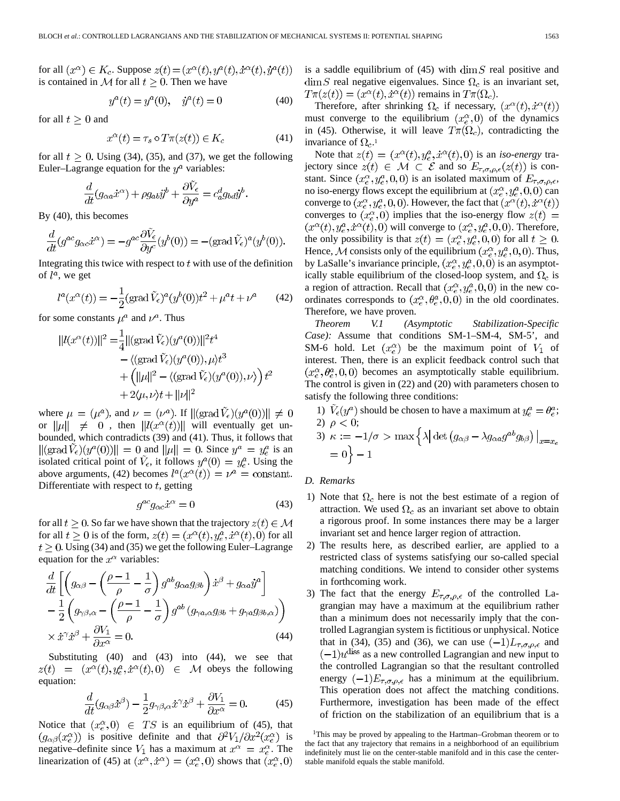for all  $(x^{\alpha}) \in K_c$ . Suppose  $z(t) = (x^{\alpha}(t), y^{\alpha}(t), \dot{x}^{\alpha}(t), \dot{y}^{\alpha}(t))$ is contained in M for all  $t \geq 0$ . Then we have

$$
y^{a}(t) = y^{a}(0), \quad \dot{y}^{a}(t) = 0 \tag{40}
$$

for all  $t \geq 0$  and

$$
x^{\alpha}(t) = \tau_s \circ T\pi(z(t)) \in K_c \tag{41}
$$

for all  $t > 0$ . Using (34), (35), and (37), we get the following Euler–Lagrange equation for the  $y^a$  variables:

$$
\frac{d}{dt}(g_{\alpha a}\dot{x}^{\alpha}) + \rho g_{ab}\ddot{y}^{b} + \frac{\partial \tilde{V}_{\epsilon}}{\partial y^{a}} = c_{a}^{d}g_{bd}\dot{y}^{b}.
$$

By (40), this becomes

$$
\frac{d}{dt}(g^{ac}g_{\alpha c}\dot{x}^{\alpha}) = -g^{ac}\frac{\partial \tilde{V}_{\epsilon}}{\partial y^{c}}(y^{b}(0)) = -(\text{grad }\tilde{V}_{\epsilon})^{a}(y^{b}(0)).
$$

Integrating this twice with respect to  $t$  with use of the definition of  $l^a$ , we get

$$
l^{a}(x^{\alpha}(t)) = -\frac{1}{2} (\text{grad}\, \tilde{V}_{\epsilon})^{a}(y^{b}(0)) t^{2} + \mu^{a} t + \nu^{a} \qquad (42)
$$

for some constants  $\mu^a$  and  $\nu^a$ . Thus

$$
||l(x^{\alpha}(t))||^{2} = \frac{1}{4} ||(\text{grad }\tilde{V}_{\epsilon})(y^{a}(0))||^{2}t^{4}
$$
  
 
$$
- \langle (\text{grad }\tilde{V}_{\epsilon})(y^{a}(0)), \mu \rangle t^{3}
$$
  
 
$$
+ (||\mu||^{2} - \langle (\text{grad }\tilde{V}_{\epsilon})(y^{a}(0)), \nu \rangle) t^{2}
$$
  
 
$$
+ 2\langle \mu, \nu \rangle t + ||\nu||^{2}
$$

where  $\mu = (\mu^a)$ , and  $\nu = (\nu^a)$ . If  $||(\text{grad}\, \tilde{V}_\epsilon)(y^a(0))|| \neq 0$ or  $\|\mu\| \neq 0$ , then  $\|l(x^{\alpha}(t))\|$  will eventually get unbounded, which contradicts (39) and (41). Thus, it follows that  $\|(\operatorname{grad} \tilde{V}_\epsilon)(y^a(0))\| = 0$  and  $\|\mu\| = 0$ . Since  $y^a = y^a_\epsilon$  is an isolated critical point of  $V_{\epsilon}$ , it follows  $y^{\alpha}(0) = y_{\epsilon}^{\alpha}$ . Using the above arguments, (42) becomes  $l^a(x^{\alpha}(t)) = \nu^a = \text{constant}$ . Differentiate with respect to  $t$ , getting

$$
g^{ac}g_{\alpha c}\dot{x}^{\alpha} = 0 \tag{43}
$$

for all  $t \geq 0$ . So far we have shown that the trajectory  $z(t) \in \mathcal{M}$ for all  $t \geq 0$  is of the form,  $z(t) = (x^{\alpha}(t), y_{\varepsilon}^a, \dot{x}^{\alpha}(t), 0)$  for all  $t \geq 0$ . Using (34) and (35) we get the following Euler–Lagrange equation for the  $x^{\alpha}$  variables:

$$
\frac{d}{dt}\left[\left(g_{\alpha\beta} - \left(\frac{\rho-1}{\rho} - \frac{1}{\sigma}\right)g^{ab}g_{\alpha a}g_{\beta b}\right)\dot{x}^{\beta} + g_{\alpha a}\dot{y}^{a}\right] \n- \frac{1}{2}\left(g_{\gamma\beta,\alpha} - \left(\frac{\rho-1}{\rho} - \frac{1}{\sigma}\right)g^{ab}\left(g_{\gamma a,\alpha}g_{\beta b} + g_{\gamma a}g_{\beta b,\alpha}\right)\right) \n\times \dot{x}^{\gamma}\dot{x}^{\beta} + \frac{\partial V_{1}}{\partial x^{\alpha}} = 0.
$$
\n(44)

Substituting (40) and (43) into (44), we see that  $z(t) = (x^{\alpha}(t), y_e^a, \dot{x}^{\alpha}(t), 0) \in \mathcal{M}$  obeys the following equation:

$$
\frac{d}{dt}(g_{\alpha\beta}\dot{x}^{\beta}) - \frac{1}{2}g_{\gamma\beta,\alpha}\dot{x}^{\gamma}\dot{x}^{\beta} + \frac{\partial V_1}{\partial x^{\alpha}} = 0.
$$
 (45)

Notice that  $(x_e^{\alpha},0) \in TS$  is an equilibrium of (45), that  $(g_{\alpha\beta}(x_e^{\alpha}))$  is positive definite and that  $\partial^2 V_1/\partial x^2(x_e^{\alpha})$  is negative–definite since  $V_1$  has a maximum at  $x^{\alpha} = x_e^{\alpha}$ . The linearization of (45) at  $(x^{\alpha}, \dot{x}^{\alpha}) = (x^{\alpha}_{\epsilon}, 0)$  shows that  $(x^{\alpha}_{\epsilon}, 0)$  is a saddle equilibrium of (45) with  $\dim S$  real positive and  $\dim S$  real negative eigenvalues. Since  $\Omega_c$  is an invariant set,  $T\pi(z(t)) = (x^{\alpha}(t), \dot{x}^{\alpha}(t))$  remains in  $T\pi(\Omega_c)$ .

Therefore, after shrinking  $\Omega_c$  if necessary,  $(x^{\alpha}(t), \dot{x}^{\alpha}(t))$ must converge to the equilibrium  $(x_e^{\alpha}, 0)$  of the dynamics in (45). Otherwise, it will leave  $T_{\pi}(\Omega_c)$ , contradicting the invariance of  $\Omega_c$ .<sup>1</sup>

Note that  $z(t) = (x^{\alpha}(t), y_e^a, \dot{x}^{\alpha}(t), 0)$  is an *iso-energy* trajectory since  $z(t) \in \mathcal{M} \subset \mathcal{E}$  and so  $E_{\tau,\sigma,\rho,\epsilon}(z(t))$  is constant. Since  $(x_e^{\alpha}, y_e^a, 0, 0)$  is an isolated maximum of  $E_{\tau, \sigma, \rho, \epsilon}$ , no iso-energy flows except the equilibrium at  $(x_e^{\alpha}, y_e^a, 0, 0)$  can converge to  $(x_e^{\alpha}, y_e^a, 0, 0)$ . However, the fact that  $(x^{\alpha}(t), \dot{x}^{\alpha}(t))$ converges to  $(x_e^{\alpha},0)$  implies that the iso-energy flow  $z(t)$  =  $(x^{\alpha}(t), y_e^a, \dot{x}^{\alpha}(t), 0)$  will converge to  $(x_e^{\alpha}, y_e^a, 0, 0)$ . Therefore, the only possibility is that  $z(t) = (x_e^{\alpha}, y_e^a, 0, 0)$  for all  $t \ge 0$ . Hence, M consists only of the equilibrium  $(x_e^{\alpha}, y_e^a, 0, 0)$ . Thus, by LaSalle's invariance principle,  $(x_e^{\alpha}, y_e^a, 0, 0)$  is an asymptotically stable equilibrium of the closed-loop system, and  $\Omega_c$  is a region of attraction. Recall that  $(x_e^{\alpha}, y_e^a, 0, 0)$  in the new coordinates corresponds to  $(x_e^{\alpha}, \theta_e^a, 0, 0)$  in the old coordinates. Therefore, we have proven.

*Theorem V.1 (Asymptotic Stabilization-Specific Case):* Assume that conditions SM-1–SM-4, SM-5', and SM-6 hold. Let  $(x_e^{\alpha})$  be the maximum point of  $V_1$  of interest. Then, there is an explicit feedback control such that  $(x_e^{\alpha}, \theta_e^a, 0, 0)$  becomes an asymptotically stable equilibrium. The control is given in (22) and (20) with parameters chosen to satisfy the following three conditions:

1)  $\tilde{V}_{\epsilon}(y^a)$  should be chosen to have a maximum at  $y_e^a = \theta_e^a$ ; 2)  $\rho < 0$ ; 3)  $\kappa := -1/\sigma > \max\left\{\lambda \middle| \det\left(g_{\alpha\beta} - \lambda g_{\alpha a}g^{ab}g_{b\beta}\right)\big|_{x=x_e}\right\}$  $= 0 \ - 1$ 

# *D. Remarks*

- 1) Note that  $\Omega_c$  here is not the best estimate of a region of attraction. We used  $\Omega_c$  as an invariant set above to obtain a rigorous proof. In some instances there may be a larger invariant set and hence larger region of attraction.
- 2) The results here, as described earlier, are applied to a restricted class of systems satisfying our so-called special matching conditions. We intend to consider other systems in forthcoming work.
- 3) The fact that the energy  $E_{\tau,\sigma,\rho,\epsilon}$  of the controlled Lagrangian may have a maximum at the equilibrium rather than a minimum does not necessarily imply that the controlled Lagrangian system is fictitious or unphysical. Notice that in (34), (35) and (36), we can use  $(-1)L_{\tau,\sigma,\rho,\epsilon}$  and  $(-1)u^{\text{diss}}$  as a new controlled Lagrangian and new input to the controlled Lagrangian so that the resultant controlled energy  $(-1)E_{\tau,\sigma,\rho,\epsilon}$  has a minimum at the equilibrium. This operation does not affect the matching conditions. Furthermore, investigation has been made of the effect of friction on the stabilization of an equilibrium that is a

<sup>&</sup>lt;sup>1</sup>This may be proved by appealing to the Hartman–Grobman theorem or to the fact that any trajectory that remains in a neighborhood of an equilibrium indefinitely must lie on the center-stable manifold and in this case the centerstable manifold equals the stable manifold.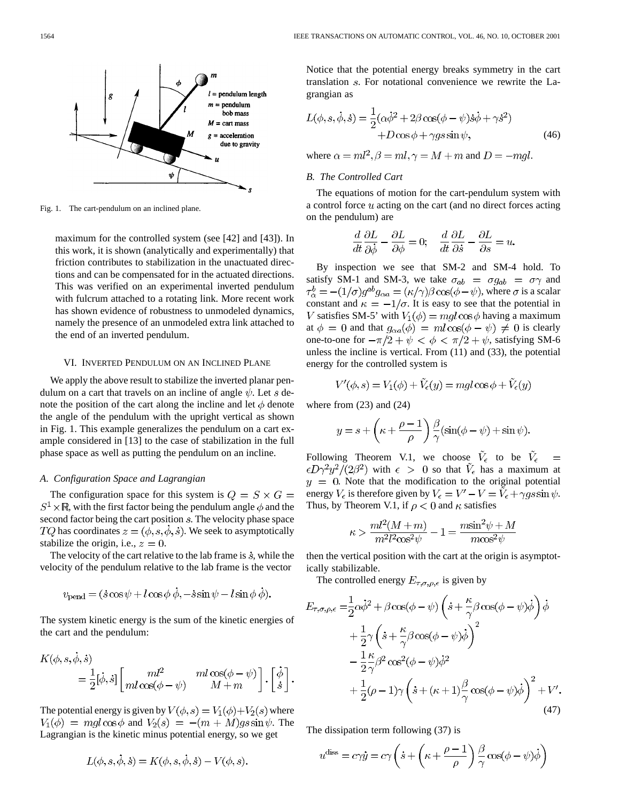

Fig. 1. The cart-pendulum on an inclined plane.

maximum for the controlled system (see [42] and [43]). In this work, it is shown (analytically and experimentally) that friction contributes to stabilization in the unactuated directions and can be compensated for in the actuated directions. This was verified on an experimental inverted pendulum with fulcrum attached to a rotating link. More recent work has shown evidence of robustness to unmodeled dynamics, namely the presence of an unmodeled extra link attached to the end of an inverted pendulum.

### VI. INVERTED PENDULUM ON AN INCLINED PLANE

We apply the above result to stabilize the inverted planar pendulum on a cart that travels on an incline of angle  $\psi$ . Let s denote the position of the cart along the incline and let  $\phi$  denote the angle of the pendulum with the upright vertical as shown in Fig. 1. This example generalizes the pendulum on a cart example considered in [13] to the case of stabilization in the full phase space as well as putting the pendulum on an incline.

## *A. Configuration Space and Lagrangian*

The configuration space for this system is  $Q = S \times G =$  $S^1 \times \mathbb{R}$ , with the first factor being the pendulum angle  $\phi$  and the second factor being the cart position s. The velocity phase space  $TQ$  has coordinates  $z = (\phi, s, \phi, \dot{s})$ . We seek to asymptotically stabilize the origin, i.e.,  $z = 0$ .

The velocity of the cart relative to the lab frame is  $\dot{s}$ , while the velocity of the pendulum relative to the lab frame is the vector

$$
v_{\text{pend}} = (\dot{s}\cos\psi + l\cos\phi\,\dot{\phi}, -\dot{s}\sin\psi - l\sin\phi\,\dot{\phi}).
$$

The system kinetic energy is the sum of the kinetic energies of the cart and the pendulum:

$$
K(\phi, s, \dot{\phi}, \dot{s}) = \frac{1}{2} [\dot{\phi}, \dot{s}] \begin{bmatrix} ml^2 & ml \cos(\phi - \psi) \\ ml \cos(\phi - \psi) & M + m \end{bmatrix} \cdot \begin{bmatrix} \dot{\phi} \\ \dot{s} \end{bmatrix}.
$$

The potential energy is given by  $V(\phi, s) = V_1(\phi) + V_2(s)$  where  $V_1(\phi) = mgl\cos\phi$  and  $V_2(s) = -(m+M)gs\sin\psi$ . The Lagrangian is the kinetic minus potential energy, so we get

$$
L(\phi, s, \phi, \dot{s}) = K(\phi, s, \phi, \dot{s}) - V(\phi, s).
$$

Notice that the potential energy breaks symmetry in the cart translation  $s$ . For notational convenience we rewrite the Lagrangian as

$$
L(\phi, s, \dot{\phi}, \dot{s}) = \frac{1}{2} (\alpha \dot{\phi}^2 + 2\beta \cos(\phi - \psi)\dot{s}\dot{\phi} + \gamma \dot{s}^2) + D \cos \phi + \gamma g s \sin \psi,
$$
 (46)

where  $\alpha = ml^2$ ,  $\beta = ml$ ,  $\gamma = M + m$  and  $D = -mgl$ .

## *B. The Controlled Cart*

The equations of motion for the cart-pendulum system with a control force  $u$  acting on the cart (and no direct forces acting on the pendulum) are

$$
\frac{d}{dt}\frac{\partial L}{\partial \dot{\phi}} - \frac{\partial L}{\partial \phi} = 0; \quad \frac{d}{dt}\frac{\partial L}{\partial \dot{s}} - \frac{\partial L}{\partial s} = u.
$$

By inspection we see that SM-2 and SM-4 hold. To satisfy SM-1 and SM-3, we take  $\sigma_{ab} = \sigma g_{ab} = \sigma \gamma$  and  $\tau_{\alpha}^{b} = -(1/\sigma)g^{ab}g_{\alpha a} = (\kappa/\gamma)\beta\cos(\phi - \psi)$ , where  $\sigma$  is a scalar constant and  $\kappa = -1/\sigma$ . It is easy to see that the potential in V satisfies SM-5' with  $V_1(\phi) = mgl \cos \phi$  having a maximum at  $\phi = 0$  and that  $g_{\alpha a}(\phi) = m \cos(\phi - \psi) \neq 0$  is clearly one-to-one for  $-\pi/2 + \psi < \phi < \pi/2 + \psi$ , satisfying SM-6 unless the incline is vertical. From (11) and (33), the potential energy for the controlled system is

$$
V'(\phi, s) = V_1(\phi) + \tilde{V}_\epsilon(y) = mgl \cos \phi + \tilde{V}_\epsilon(y)
$$

where from (23) and (24)

$$
y = s + \left(\kappa + \frac{\rho - 1}{\rho}\right) \frac{\beta}{\gamma} (\sin(\phi - \psi) + \sin \psi).
$$

Following Theorem V.1, we choose  $\tilde{V}_{\epsilon}$  to be  $\tilde{V}_{\epsilon}$  $=$  $\epsilon D\gamma^2 y^2/(2\beta^2)$  with  $\epsilon > 0$  so that  $\tilde{V}_{\epsilon}$  has a maximum at  $y = 0$ . Note that the modification to the original potential energy  $V_{\epsilon}$  is therefore given by  $V_{\epsilon} = V' - V = \tilde{V}_{\epsilon} + \gamma gs \sin \psi$ . Thus, by Theorem V.1, if  $\rho < 0$  and  $\kappa$  satisfies

$$
\kappa > \frac{ml^2(M+m)}{m^2l^2\mathrm{cos}^2\psi} - 1 = \frac{m\mathrm{sin}^2\psi + M}{m\mathrm{cos}^2\psi}
$$

then the vertical position with the cart at the origin is asymptotically stabilizable.

The controlled energy  $E_{\tau,\sigma,\rho,\epsilon}$  is given by

$$
E_{\tau,\sigma,\rho,\epsilon} = \frac{1}{2}\alpha\dot{\phi}^2 + \beta\cos(\phi - \psi)\left(\dot{s} + \frac{\kappa}{\gamma}\beta\cos(\phi - \psi)\dot{\phi}\right)\dot{\phi} + \frac{1}{2}\gamma\left(\dot{s} + \frac{\kappa}{\gamma}\beta\cos(\phi - \psi)\dot{\phi}\right)^2 - \frac{1}{2}\frac{\kappa}{\gamma}\beta^2\cos^2(\phi - \psi)\dot{\phi}^2 + \frac{1}{2}(\rho - 1)\gamma\left(\dot{s} + (\kappa + 1)\frac{\beta}{\gamma}\cos(\phi - \psi)\dot{\phi}\right)^2 + V'.
$$
\n(47)

The dissipation term following (37) is

$$
u^{\text{diss}} = c\gamma \dot{y} = c\gamma \left( \dot{s} + \left( \kappa + \frac{\rho - 1}{\rho} \right) \frac{\beta}{\gamma} \cos(\phi - \psi) \dot{\phi} \right)
$$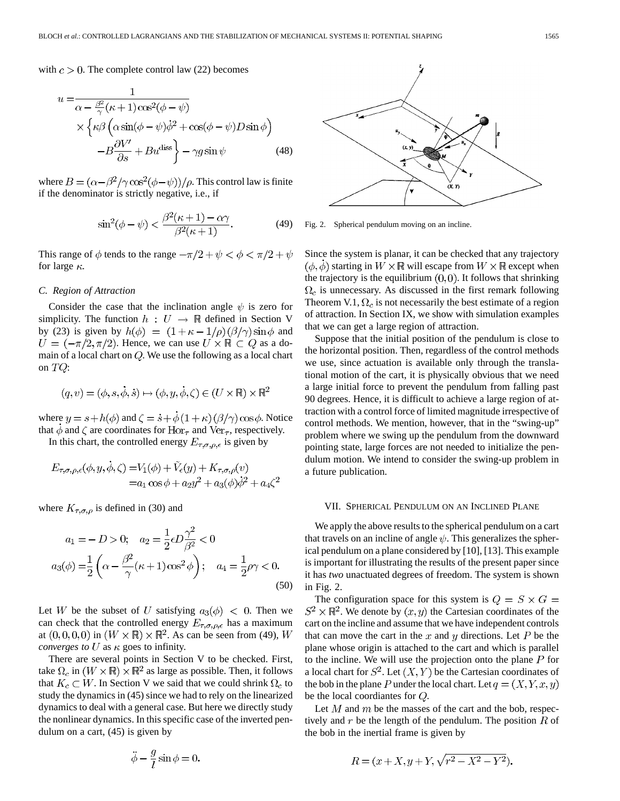with  $c > 0$ . The complete control law (22) becomes

$$
u = \frac{1}{\alpha - \frac{\beta^2}{\gamma} (\kappa + 1) \cos^2(\phi - \psi)} \times \left\{ \kappa \beta \left( \alpha \sin(\phi - \psi) \dot{\phi}^2 + \cos(\phi - \psi) D \sin \phi \right) - B \frac{\partial V'}{\partial s} + B u^{\text{diss}} \right\} - \gamma g \sin \psi \tag{48}
$$

where  $B = (\alpha - \beta^2/\gamma \cos^2(\phi - \psi))/\rho$ . This control law is finite if the denominator is strictly negative, i.e., if

$$
\sin^2(\phi - \psi) < \frac{\beta^2(\kappa + 1) - \alpha\gamma}{\beta^2(\kappa + 1)}.\tag{49}
$$

This range of  $\phi$  tends to the range  $-\pi/2 + \psi < \phi < \pi/2 + \psi$ for large  $\kappa$ .

## *C. Region of Attraction*

Consider the case that the inclination angle  $\psi$  is zero for simplicity. The function  $h: U \rightarrow \mathbb{R}$  defined in Section V by (23) is given by  $h(\phi) = (1 + \kappa - 1/\rho)(\beta/\gamma)\sin\phi$  and  $U = (-\pi/2, \pi/2)$ . Hence, we can use  $U \times \mathbb{R} \subset Q$  as a domain of a local chart on  $Q$ . We use the following as a local chart on  $TQ$ :

$$
(q,v)=(\phi,s,\dot{\phi},\dot{s})\mapsto (\phi,y,\dot{\phi},\zeta)\in (U\times\mathbb{R})\times\mathbb{R}^2
$$

where  $y = s + h(\phi)$  and  $\zeta = \dot{s} + \dot{\phi}(1 + \kappa) (\beta/\gamma) \cos \phi$ . Notice that  $\phi$  and  $\zeta$  are coordinates for  $\text{Hor}_{\tau}$  and  $\text{Ver}_{\tau}$ , respectively.

In this chart, the controlled energy  $E_{\tau,\sigma,\rho,\epsilon}$  is given by

$$
E_{\tau,\sigma,\rho,\epsilon}(\phi,y,\dot{\phi},\zeta) = V_1(\phi) + \tilde{V}_{\epsilon}(y) + K_{\tau,\sigma,\rho}(v)
$$
  
=  $a_1 \cos \phi + a_2 y^2 + a_3(\phi)\dot{\phi}^2 + a_4 \zeta^2$ 

where  $K_{\tau,\sigma,\rho}$  is defined in (30) and

$$
a_1 = -D > 0; \quad a_2 = \frac{1}{2} \epsilon D \frac{\gamma^2}{\beta^2} < 0
$$
  

$$
a_3(\phi) = \frac{1}{2} \left( \alpha - \frac{\beta^2}{\gamma} (\kappa + 1) \cos^2 \phi \right); \quad a_4 = \frac{1}{2} \rho \gamma < 0.
$$
 (50)

Let W be the subset of U satisfying  $a_3(\phi) < 0$ . Then we can check that the controlled energy  $E_{\tau,\sigma,\rho,\epsilon}$  has a maximum at  $(0,0,0,0)$  in  $(W \times \mathbb{R}) \times \mathbb{R}^2$ . As can be seen from (49), W *converges to*  $U$  as  $\kappa$  goes to infinity.

There are several points in Section V to be checked. First, take  $\Omega_c$  in  $(W \times \mathbb{R}) \times \mathbb{R}^2$  as large as possible. Then, it follows that  $K_c \subset W$ . In Section V we said that we could shrink  $\Omega_c$  to study the dynamics in (45) since we had to rely on the linearized dynamics to deal with a general case. But here we directly study the nonlinear dynamics. In this specific case of the inverted pendulum on a cart, (45) is given by

$$
\ddot{\phi} - \frac{g}{l}\sin\phi = 0.
$$



Fig. 2. Spherical pendulum moving on an incline.

Since the system is planar, it can be checked that any trajectory  $(\phi, \dot{\phi})$  starting in  $W \times \mathbb{R}$  will escape from  $W \times \mathbb{R}$  except when the trajectory is the equilibrium  $(0,0)$ . It follows that shrinking  $\Omega_c$  is unnecessary. As discussed in the first remark following Theorem V.1,  $\Omega_c$  is not necessarily the best estimate of a region of attraction. In Section IX, we show with simulation examples that we can get a large region of attraction.

Suppose that the initial position of the pendulum is close to the horizontal position. Then, regardless of the control methods we use, since actuation is available only through the translational motion of the cart, it is physically obvious that we need a large initial force to prevent the pendulum from falling past 90 degrees. Hence, it is difficult to achieve a large region of attraction with a control force of limited magnitude irrespective of control methods. We mention, however, that in the "swing-up" problem where we swing up the pendulum from the downward pointing state, large forces are not needed to initialize the pendulum motion. We intend to consider the swing-up problem in a future publication.

#### VII. SPHERICAL PENDULUM ON AN INCLINED PLANE

We apply the above results to the spherical pendulum on a cart that travels on an incline of angle  $\psi$ . This generalizes the spherical pendulum on a plane considered by [10], [13]. This example is important for illustrating the results of the present paper since it has *two* unactuated degrees of freedom. The system is shown in Fig. 2.

The configuration space for this system is  $Q = S \times G =$  $S^2 \times \mathbb{R}^2$ . We denote by  $(x, y)$  the Cartesian coordinates of the cart on the incline and assume that we have independent controls that can move the cart in the  $x$  and  $y$  directions. Let  $P$  be the plane whose origin is attached to the cart and which is parallel to the incline. We will use the projection onto the plane  *for* a local chart for  $S^2$ . Let  $(X, Y)$  be the Cartesian coordinates of the bob in the plane P under the local chart. Let  $q = (X, Y, x, y)$ be the local coordiantes for  $Q$ .

Let  $M$  and  $m$  be the masses of the cart and the bob, respectively and r be the length of the pendulum. The position  $R$  of the bob in the inertial frame is given by

$$
R = (x + X, y + Y, \sqrt{r^2 - X^2 - Y^2}).
$$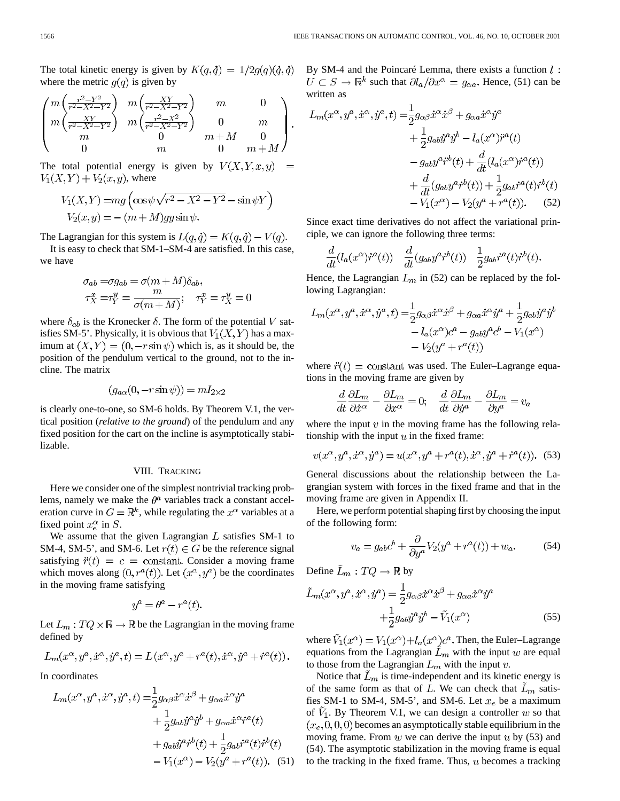The total kinetic energy is given by  $K(q, \dot{q}) = 1/2g(q)(\dot{q}, \dot{q})$ where the metric  $q(q)$  is given by

$$
\begin{pmatrix} m\left(\frac{r^2-Y^2}{r^2-X^2-Y^2}\right) & m\left(\frac{XY}{r^2-X^2-Y^2}\right) & m & 0\\ m\left(\frac{XY}{r^2-X^2-Y^2}\right) & m\left(\frac{r^2-X^2}{r^2-X^2-Y^2}\right) & 0 & m\\ m & 0 & m+M & 0\\ 0 & m & 0 & m+M \end{pmatrix}.
$$

The total potential energy is given by  $V(X, Y, x, y) =$  $V_1(X, Y) + V_2(x, y)$ , where

$$
V_1(X,Y) = mg\left(\cos\psi\sqrt{r^2 - X^2 - Y^2} - \sin\psi Y\right)
$$
  

$$
V_2(x,y) = -(m+M)gy\sin\psi.
$$

The Lagrangian for this system is  $L(q, \dot{q}) = K(q, \dot{q}) - V(q)$ . It is easy to check that SM-1–SM-4 are satisfied. In this case,

we have

$$
\sigma_{ab} = \sigma g_{ab} = \sigma (m+M)\delta_{ab},
$$
  

$$
\tau_X^x = \tau_Y^y = \frac{m}{\sigma (m+M)}; \quad \tau_Y^x = \tau_X^y = 0
$$

where  $\delta_{ab}$  is the Kronecker  $\delta$ . The form of the potential V satisfies SM-5'. Physically, it is obvious that  $V_1(X, Y)$  has a maximum at  $(X, Y) = (0, -r \sin \psi)$  which is, as it should be, the position of the pendulum vertical to the ground, not to the incline. The matrix

$$
(g_{a\alpha}(0, -r\sin\psi)) = mI_{2\times 2}
$$

is clearly one-to-one, so SM-6 holds. By Theorem V.1, the vertical position (*relative to the ground*) of the pendulum and any fixed position for the cart on the incline is asymptotically stabilizable.

#### VIII. TRACKING

Here we consider one of the simplest nontrivial tracking problems, namely we make the  $\theta^a$  variables track a constant acceleration curve in  $G = \mathbb{R}^k$ , while regulating the  $x^{\alpha}$  variables at a fixed point  $x_e^{\alpha}$  in S.

We assume that the given Lagrangian  $L$  satisfies SM-1 to SM-4, SM-5', and SM-6. Let  $r(t) \in G$  be the reference signal satisfying  $\ddot{r}(t) = c = constant$ . Consider a moving frame which moves along  $(0, r^a(t))$ . Let  $(x^{\alpha}, y^a)$  be the coordinates in the moving frame satisfying

$$
y^a = \theta^a - r^a(t).
$$

Let  $L_m: TQ \times \mathbb{R} \to \mathbb{R}$  be the Lagrangian in the moving frame defined by

$$
L_m(x^\alpha,y^a,\dot{x}^\alpha,\dot{y}^a,t)=L\left(x^\alpha,y^a+r^a(t),\dot{x}^\alpha,\dot{y}^a+\dot{r}^a(t)\right).
$$

In coordinates

$$
L_m(x^{\alpha}, y^a, \dot{x}^{\alpha}, \dot{y}^a, t) = \frac{1}{2} g_{\alpha\beta} \dot{x}^{\alpha} \dot{x}^{\beta} + g_{\alpha a} \dot{x}^{\alpha} \dot{y}^a
$$
  
+ 
$$
\frac{1}{2} g_{ab} \dot{y}^a \dot{y}^b + g_{\alpha a} \dot{x}^{\alpha} \dot{r}^a(t)
$$
  
+ 
$$
g_{ab} \dot{y}^a \dot{r}^b(t) + \frac{1}{2} g_{ab} \dot{r}^a(t) \dot{r}^b(t)
$$
  
- 
$$
V_1(x^{\alpha}) - V_2(y^a + r^a(t)).
$$
 (51)

By SM-4 and the Poincaré Lemma, there exists a function  $l$ :  $U \subset S \to \mathbb{R}^k$  such that  $\partial l_a / \partial x^\alpha = g_{\alpha a}$ . Hence, (51) can be written as

$$
L_m(x^{\alpha}, y^a, \dot{x}^{\alpha}, \dot{y}^a, t) = \frac{1}{2} g_{\alpha\beta} \dot{x}^{\alpha} \dot{x}^{\beta} + g_{\alpha a} \dot{x}^{\alpha} \dot{y}^a
$$
  
+ 
$$
\frac{1}{2} g_{ab} \dot{y}^a \dot{y}^b - l_a(x^{\alpha}) \ddot{r}^a(t)
$$
  
- 
$$
g_{ab} y^a \dot{r}^b(t) + \frac{d}{dt} (l_a(x^{\alpha}) \dot{r}^a(t))
$$
  
+ 
$$
\frac{d}{dt} (g_{ab} y^a \dot{r}^b(t)) + \frac{1}{2} g_{ab} \dot{r}^a(t) \dot{r}^b(t)
$$
  
- 
$$
V_1(x^{\alpha}) - V_2(y^a + r^a(t)).
$$
 (52)

Since exact time derivatives do not affect the variational principle, we can ignore the following three terms:

$$
\frac{d}{dt}(l_a(x^{\alpha})\dot{r}^a(t)) \quad \frac{d}{dt}(g_{ab}y^a\dot{r}^b(t)) \quad \frac{1}{2}g_{ab}\dot{r}^a(t)\dot{r}^b(t).
$$

Hence, the Lagrangian  $L_m$  in (52) can be replaced by the following Lagrangian:

$$
L_m(x^{\alpha}, y^a, \dot{x}^{\alpha}, \dot{y}^a, t) = \frac{1}{2} g_{\alpha\beta} \dot{x}^{\alpha} \dot{x}^{\beta} + g_{\alpha a} \dot{x}^{\alpha} \dot{y}^a + \frac{1}{2} g_{ab} \dot{y}^a \dot{y}^b
$$

$$
- l_a(x^{\alpha}) c^a - g_{ab} y^a c^b - V_1(x^{\alpha})
$$

$$
- V_2(y^a + r^a(t))
$$

where  $\ddot{r}(t) =$  constant was used. The Euler–Lagrange equations in the moving frame are given by

$$
\frac{d}{dt}\frac{\partial L_m}{\partial \dot{x}^{\alpha}} - \frac{\partial L_m}{\partial x^{\alpha}} = 0; \quad \frac{d}{dt}\frac{\partial L_m}{\partial \dot{y}^a} - \frac{\partial L_m}{\partial y^a} = v_a
$$

where the input  $v$  in the moving frame has the following relationship with the input  $u$  in the fixed frame:

$$
v(x^{\alpha}, y^a, \dot{x}^{\alpha}, \dot{y}^a) = u(x^{\alpha}, y^a + r^a(t), \dot{x}^{\alpha}, \dot{y}^a + \dot{r}^a(t)).
$$
 (53)

General discussions about the relationship between the Lagrangian system with forces in the fixed frame and that in the moving frame are given in Appendix II.

Here, we perform potential shaping first by choosing the input of the following form:

$$
v_a = g_{ab}c^b + \frac{\partial}{\partial y^a}V_2(y^a + r^a(t)) + w_a.
$$
 (54)

Define  $\tilde{L}_m: TQ \rightarrow \mathbb{R}$  by

$$
\tilde{L}_m(x^\alpha, y^a, \dot{x}^\alpha, \dot{y}^a) = \frac{1}{2} g_{\alpha\beta} \dot{x}^\alpha \dot{x}^\beta + g_{\alpha a} \dot{x}^\alpha \dot{y}^a
$$
\n
$$
+ \frac{1}{2} g_{ab} \dot{y}^a \dot{y}^b - \tilde{V}_1(x^\alpha) \tag{55}
$$

where  $\tilde{V}_1(x^{\alpha}) = V_1(x^{\alpha}) + l_a(x^{\alpha})c^a$ . Then, the Euler–Lagrange equations from the Lagrangian  $\bar{L}_m$  with the input w are equal to those from the Lagrangian  $L_m$  with the input  $v$ .

Notice that  $\hat{L}_m$  is time-independent and its kinetic energy is of the same form as that of L. We can check that  $\hat{L}_m$  satisfies SM-1 to SM-4, SM-5', and SM-6. Let  $x_e$  be a maximum of  $V_1$ . By Theorem V.1, we can design a controller w so that  $(x_e, 0, 0, 0)$  becomes an asymptotically stable equilibrium in the moving frame. From  $w$  we can derive the input  $u$  by (53) and (54). The asymptotic stabilization in the moving frame is equal to the tracking in the fixed frame. Thus,  $u$  becomes a tracking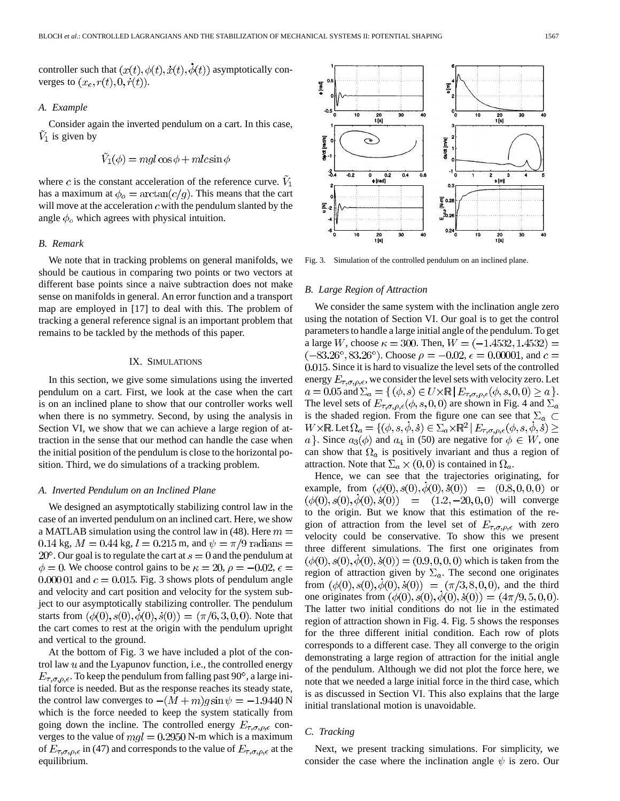controller such that  $(x(t), \phi(t), \dot{x}(t), \dot{\phi}(t))$  asymptotically converges to  $(x_e, r(t), 0, \dot{r}(t))$ .

## *A. Example*

Consider again the inverted pendulum on a cart. In this case,  $V_1$  is given by

$$
\tilde{V}_1(\phi) = mgl\cos\phi + mlc\sin\phi
$$

where  $c$  is the constant acceleration of the reference curve.  $V_1$ has a maximum at  $\phi_o = \arctan(c/g)$ . This means that the cart will move at the acceleration  $c$  with the pendulum slanted by the angle  $\phi_o$  which agrees with physical intuition.

## *B. Remark*

We note that in tracking problems on general manifolds, we should be cautious in comparing two points or two vectors at different base points since a naive subtraction does not make sense on manifolds in general. An error function and a transport map are employed in [17] to deal with this. The problem of tracking a general reference signal is an important problem that remains to be tackled by the methods of this paper.

## IX. SIMULATIONS

In this section, we give some simulations using the inverted pendulum on a cart. First, we look at the case when the cart is on an inclined plane to show that our controller works well when there is no symmetry. Second, by using the analysis in Section VI, we show that we can achieve a large region of attraction in the sense that our method can handle the case when the initial position of the pendulum is close to the horizontal position. Third, we do simulations of a tracking problem.

#### *A. Inverted Pendulum on an Inclined Plane*

We designed an asymptotically stabilizing control law in the case of an inverted pendulum on an inclined cart. Here, we show a MATLAB simulation using the control law in (48). Here  $m =$ 0.14 kg,  $M = 0.44$  kg,  $l = 0.215$  m, and  $\psi = \pi/9$  radians  $=$  $20^{\circ}$ . Our goal is to regulate the cart at  $s = 0$  and the pendulum at  $\phi = 0$ . We choose control gains to be  $\kappa = 20$ ,  $\rho = -0.02$ ,  $\epsilon =$  $0.00001$  and  $c = 0.015$ . Fig. 3 shows plots of pendulum angle and velocity and cart position and velocity for the system subject to our asymptotically stabilizing controller. The pendulum starts from  $(\phi(0), s(0), \dot{\phi}(0), \dot{s}(0)) = (\pi/6, 3, 0, 0)$ . Note that the cart comes to rest at the origin with the pendulum upright and vertical to the ground.

At the bottom of Fig. 3 we have included a plot of the control law  $u$  and the Lyapunov function, i.e., the controlled energy  $E_{\tau,\sigma,\rho,\epsilon}$ . To keep the pendulum from falling past 90°, a large initial force is needed. But as the response reaches its steady state, the control law converges to  $-(M+m)g\sin\psi = -1.9440$  N which is the force needed to keep the system statically from going down the incline. The controlled energy  $E_{\tau,\sigma,\rho,\epsilon}$  converges to the value of  $mgl = 0.2950$  N-m which is a maximum of  $E_{\tau,\sigma,\rho,\epsilon}$  in (47) and corresponds to the value of  $E_{\tau,\sigma,\rho,\epsilon}$  at the equilibrium.



Fig. 3. Simulation of the controlled pendulum on an inclined plane.

#### *B. Large Region of Attraction*

We consider the same system with the inclination angle zero using the notation of Section VI. Our goal is to get the control parameters to handle a large initial angle of the pendulum. To get a large W, choose  $\kappa = 300$ . Then,  $W = (-1.4532, 1.4532)$  =  $(-83.26^{\circ}, 83.26^{\circ})$ . Choose  $\rho = -0.02$ ,  $\epsilon = 0.00001$ , and  $c =$ . Since it is hard to visualize the level sets of the controlled energy  $E_{\tau,\sigma,\rho,\epsilon}$ , we consider the level sets with velocity zero. Let  $a = 0.05$  and  $\Sigma_a = \{ (\phi, s) \in U \times \mathbb{R} \mid E_{\tau, \sigma, \rho, \epsilon}(\phi, s, 0, 0) \ge a \}.$ The level sets of  $E_{\tau,\sigma,\rho,\epsilon}(\phi, s, 0, 0)$  are shown in Fig. 4 and  $\Sigma_a$ is the shaded region. From the figure one can see that  $\Sigma_a \subset$  $W \times \mathbb{R}$ . Let  $\Omega_a = \{(\phi, s, \dot{\phi}, \dot{s}) \in \Sigma_a \times \mathbb{R}^2 \mid E_{\tau, \sigma, \rho, \epsilon}(\phi, s, \dot{\phi}, \dot{s}) \geq$ a }. Since  $a_3(\phi)$  and  $a_4$  in (50) are negative for  $\phi \in W$ , one can show that  $\Omega_a$  is positively invariant and thus a region of attraction. Note that  $\Sigma_a \times (0,0)$  is contained in  $\Omega_a$ .

Hence, we can see that the trajectories originating, for example, from  $(\phi(0), s(0), \phi(0), \dot{s}(0)) = (0.8, 0, 0, 0)$  or  $(\phi(0), s(0), \phi(0), \dot{s}(0)) = (1.2, -20, 0, 0)$  will converge to the origin. But we know that this estimation of the region of attraction from the level set of  $E_{\tau,\sigma,\rho,\epsilon}$  with zero velocity could be conservative. To show this we present three different simulations. The first one originates from  $(\phi(0), s(0), \dot{\phi}(0), \dot{s}(0)) = (0.9, 0, 0, 0)$  which is taken from the region of attraction given by  $\Sigma_a$ . The second one originates from  $(\phi(0), s(0), \dot{\phi}(0), \dot{s}(0)) = (\pi/3, 8, 0, 0)$ , and the third one originates from  $(\phi(0), s(0), \dot{\phi}(0), \dot{s}(0)) = (4\pi/9, 5, 0, 0).$ The latter two initial conditions do not lie in the estimated region of attraction shown in Fig. 4. Fig. 5 shows the responses for the three different initial condition. Each row of plots corresponds to a different case. They all converge to the origin demonstrating a large region of attraction for the initial angle of the pendulum. Although we did not plot the force here, we note that we needed a large initial force in the third case, which is as discussed in Section VI. This also explains that the large initial translational motion is unavoidable.

# *C. Tracking*

Next, we present tracking simulations. For simplicity, we consider the case where the inclination angle  $\psi$  is zero. Our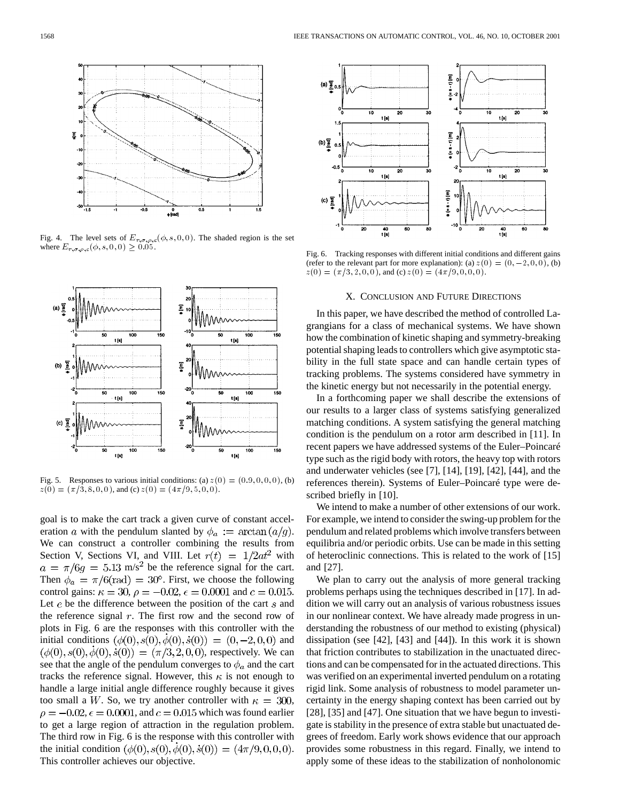

Fig. 4. The level sets of  $E_{r,\sigma,\rho,\varepsilon}(\phi, s, 0, 0)$ . The shaded region is the set where  $E_{r,\sigma,\rho,\varepsilon}(\phi, s, 0, 0) \geq 0.05$ .



Fig. 5. Responses to various initial conditions: (a)  $z(0) = (0.9, 0, 0, 0)$ , (b)  $z(0) = (\pi/3, 8, 0, 0)$ , and (c)  $z(0) = (4\pi/9, 5, 0, 0)$ .

goal is to make the cart track a given curve of constant acceleration a with the pendulum slanted by  $\phi_a := \arctan(a/g)$ . We can construct a controller combining the results from Section V, Sections VI, and VIII. Let  $r(t) = 1/2at^2$  with  $\alpha = \pi/6g = 5.13$  m/s<sup>2</sup> be the reference signal for the cart. Then  $\phi_a = \pi/6 \text{(rad)} = 30^\circ$ . First, we choose the following control gains:  $\kappa = 30$ ,  $\rho = -0.02$ ,  $\epsilon = 0.0001$  and  $c = 0.015$ . Let  $e$  be the difference between the position of the cart  $s$  and the reference signal  $r$ . The first row and the second row of plots in Fig. 6 are the responses with this controller with the initial conditions  $(\phi(0), s(0), \dot{\phi}(0), \dot{s}(0)) = (0, -2, 0, 0)$  and  $(\phi(0), s(0), \phi(0), \dot{s}(0)) = (\pi/3, 2, 0, 0)$ , respectively. We can see that the angle of the pendulum converges to  $\phi_a$  and the cart tracks the reference signal. However, this  $\kappa$  is not enough to handle a large initial angle difference roughly because it gives too small a W. So, we try another controller with  $\kappa = 300$ ,  $\rho = -0.02, \epsilon = 0.0001$ , and  $c = 0.015$  which was found earlier to get a large region of attraction in the regulation problem. The third row in Fig. 6 is the response with this controller with the initial condition  $(\phi(0), s(0), \phi(0), \dot{s}(0)) = (4\pi/9, 0, 0, 0).$ This controller achieves our objective.



Fig. 6. Tracking responses with different initial conditions and different gains (refer to the relevant part for more explanation): (a)  $z(0) = (0, -2, 0, 0)$ , (b)  $z(0) = (\pi/3, 2, 0, 0)$ , and (c)  $z(0) = (4\pi/9, 0, 0, 0)$ .

#### X. CONCLUSION AND FUTURE DIRECTIONS

In this paper, we have described the method of controlled Lagrangians for a class of mechanical systems. We have shown how the combination of kinetic shaping and symmetry-breaking potential shaping leads to controllers which give asymptotic stability in the full state space and can handle certain types of tracking problems. The systems considered have symmetry in the kinetic energy but not necessarily in the potential energy.

In a forthcoming paper we shall describe the extensions of our results to a larger class of systems satisfying generalized matching conditions. A system satisfying the general matching condition is the pendulum on a rotor arm described in [11]. In recent papers we have addressed systems of the Euler–Poincaré type such as the rigid body with rotors, the heavy top with rotors and underwater vehicles (see [7], [14], [19], [42], [44], and the references therein). Systems of Euler–Poincaré type were described briefly in [10].

We intend to make a number of other extensions of our work. For example, we intend to consider the swing-up problem for the pendulum and related problems which involve transfers between equilibria and/or periodic orbits. Use can be made in this setting of heteroclinic connections. This is related to the work of [15] and [27].

We plan to carry out the analysis of more general tracking problems perhaps using the techniques described in [17]. In addition we will carry out an analysis of various robustness issues in our nonlinear context. We have already made progress in understanding the robustness of our method to existing (physical) dissipation (see [42], [43] and [44]). In this work it is shown that friction contributes to stabilization in the unactuated directions and can be compensated for in the actuated directions. This was verified on an experimental inverted pendulum on a rotating rigid link. Some analysis of robustness to model parameter uncertainty in the energy shaping context has been carried out by [28], [35] and [47]. One situation that we have begun to investigate is stability in the presence of extra stable but unactuated degrees of freedom. Early work shows evidence that our approach provides some robustness in this regard. Finally, we intend to apply some of these ideas to the stabilization of nonholonomic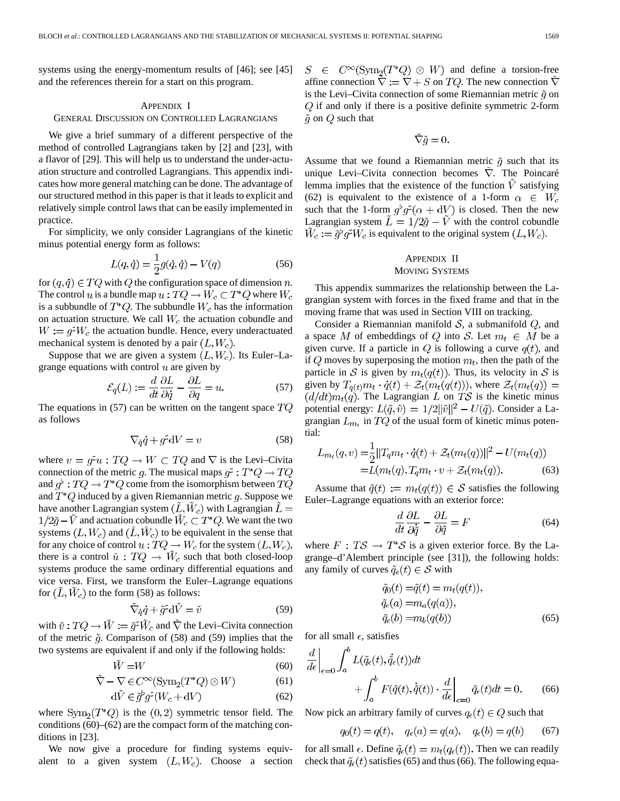systems using the energy-momentum results of [46]; see [45] and the references therein for a start on this program.

# APPENDIX I

## GENERAL DISCUSSION ON CONTROLLED LAGRANGIANS

We give a brief summary of a different perspective of the method of controlled Lagrangians taken by [2] and [23], with a flavor of [29]. This will help us to understand the under-actuation structure and controlled Lagrangians. This appendix indicates how more general matching can be done. The advantage of our structured method in this paper is that it leads to explicit and relatively simple control laws that can be easily implemented in practice.

For simplicity, we only consider Lagrangians of the kinetic minus potential energy form as follows:

$$
L(q, \dot{q}) = \frac{1}{2}g(\dot{q}, \dot{q}) - V(q)
$$
 (56)

for  $(q, \dot{q}) \in TQ$  with Q the configuration space of dimension n. The control u is a bundle map  $u: TQ \to W_c \subset T^*Q$  where  $W_c$ is a subbundle of  $T^*Q$ . The subbundle  $W_c$  has the information on actuation structure. We call  $W_c$  the actuation cobundle and  $W := g^2 W_c$  the actuation bundle. Hence, every underactuated mechanical system is denoted by a pair  $(L, W_c)$ .

Suppose that we are given a system  $(L, W_c)$ . Its Euler–Lagrange equations with control  $u$  are given by

$$
\mathcal{E}_q(L) := \frac{d}{dt} \frac{\partial L}{\partial \dot{q}} - \frac{\partial L}{\partial q} = u.
$$
 (57)

The equations in (57) can be written on the tangent space  $TQ$ as follows

$$
\nabla_{\dot{q}} \dot{q} + g^2 dV = v \tag{58}
$$

where  $v = g^2 u : TQ \to W \subset TQ$  and  $\nabla$  is the Levi–Civita connection of the metric g. The musical maps  $g^2: T^*Q \to TQ$ and  $g^{\flat}: TQ \to T^*Q$  come from the isomorphism between  $TQ$ and  $T^*Q$  induced by a given Riemannian metric g. Suppose we have another Lagrangian system  $(\tilde{L}, \tilde{W}_c)$  with Lagrangian  $\tilde{L} =$  $1/2\tilde{g} - V$  and actuation cobundle  $W_c \subset T^*Q$ . We want the two systems  $(L, W_c)$  and  $(\tilde{L}, \tilde{W}_c)$  to be equivalent in the sense that for any choice of control  $u: TQ \to W_c$  for the system  $(L, W_c)$ , there is a control  $\tilde{u}: TQ \to W_c$  such that both closed-loop systems produce the same ordinary differential equations and vice versa. First, we transform the Euler–Lagrange equations for  $(\tilde{L}, \tilde{W}_c)$  to the form (58) as follows:

$$
\tilde{\nabla}_{\dot{q}}\dot{q} + \tilde{g}^2 d\tilde{V} = \tilde{v}
$$
\n(59)

with  $\tilde{v}:TQ\to \tilde{W}:=\tilde{g}^2\tilde{W}_c$  and  $\tilde{\nabla}$  the Levi–Civita connection of the metric  $\tilde{g}$ . Comparison of (58) and (59) implies that the two systems are equivalent if and only if the following holds:

$$
\dot{W} = W \tag{60}
$$

$$
\tilde{\nabla} - \nabla \in C^{\infty}(\text{Sym}_2(T^*Q) \otimes W) \tag{61}
$$

$$
dV \in \tilde{g}^p g^2 (W_c + dV) \tag{62}
$$

where  $\text{Sym}_2(T^*Q)$  is the  $(0,2)$  symmetric tensor field. The conditions (60)–(62) are the compact form of the matching conditions in [23].

We now give a procedure for finding systems equivalent to a given system  $(L, W_c)$ . Choose a section  $S \in C^{\infty}(\text{Sym}_2(T^*Q) \otimes W)$  and define a torsion-free affine connection  $\nabla := \nabla + S$  on  $TQ$ . The new connection  $\nabla$ is the Levi–Civita connection of some Riemannian metric  $\tilde{g}$  on  $Q$  if and only if there is a positive definite symmetric 2-form  $\tilde{g}$  on  $Q$  such that

$$
\nabla \tilde{g}=0.
$$

Assume that we found a Riemannian metric  $\tilde{g}$  such that its unique Levi–Civita connection becomes  $\tilde{\nabla}$ . The Poincaré lemma implies that the existence of the function  $\hat{V}$  satisfying (62) is equivalent to the existence of a 1-form  $\alpha \in W_c$ such that the 1-form  $g^{\flat} g^{\sharp}(\alpha + dV)$  is closed. Then the new Lagrangian system  $\hat{L} = 1/2\tilde{g} - \tilde{V}$  with the control cobundle  $\tilde{W}_c := \tilde{g}^b g^z W_c$  is equivalent to the original system  $(L, W_c)$ .

# APPENDIX II

# MOVING SYSTEMS

This appendix summarizes the relationship between the Lagrangian system with forces in the fixed frame and that in the moving frame that was used in Section VIII on tracking.

Consider a Riemannian manifold  $S$ , a submanifold  $Q$ , and a space M of embeddings of Q into S. Let  $m_t \in M$  be a given curve. If a particle in  $Q$  is following a curve  $q(t)$ , and if  $Q$  moves by superposing the motion  $m_t$ , then the path of the particle in S is given by  $m_t(q(t))$ . Thus, its velocity in S is given by  $T_{q(t)}m_t \cdot \dot{q}(t) + \mathcal{Z}_t(m_t(q(t))),$  where  $\mathcal{Z}_t(m_t(q)) =$  $(d/dt) m_t(q)$ . The Lagrangian L on TS is the kinetic minus potential energy:  $L(\tilde{q}, \tilde{v}) = 1/2 ||\tilde{v}||^2 - U(\tilde{q})$ . Consider a Lagrangian  $L_{m_t}$  in  $TQ$  of the usual form of kinetic minus potential:

$$
L_{m_t}(q, v) = \frac{1}{2} ||T_q m_t \cdot \dot{q}(t) + \mathcal{Z}_t(m_t(q))||^2 - U(m_t(q))
$$
  
=  $L(m_t(q), T_q m_t \cdot v + \mathcal{Z}_t(m_t(q)).$  (63)

Assume that  $\tilde{q}(t) := m_t(q(t)) \in \mathcal{S}$  satisfies the following Euler–Lagrange equations with an exterior force:

$$
\frac{d}{dt}\frac{\partial L}{\partial \dot{\tilde{q}}} - \frac{\partial L}{\partial \tilde{q}} = F \tag{64}
$$

where  $F: T\mathcal{S} \to T^*\mathcal{S}$  is a given exterior force. By the Lagrange–d'Alembert principle (see [31]), the following holds: any family of curves  $\tilde{q}_{\epsilon}(t) \in \mathcal{S}$  with

$$
\tilde{q}_0(t) = \tilde{q}(t) = m_t(q(t)),
$$
  
\n
$$
\tilde{q}_\epsilon(a) = m_a(q(a)),
$$
  
\n
$$
\tilde{q}_\epsilon(b) = m_b(q(b))
$$
\n(65)

for all small  $\epsilon$ , satisfies

$$
\frac{d}{d\epsilon}\Big|_{\epsilon=0} \int_{a}^{b} L(\tilde{q}_{\epsilon}(t), \dot{\tilde{q}}_{\epsilon}(t))dt + \int_{a}^{b} F(\tilde{q}(t), \dot{\tilde{q}}(t)) \cdot \frac{d}{d\epsilon}\Big|_{\epsilon=0} \tilde{q}_{\epsilon}(t)dt = 0.
$$
 (66)

Now pick an arbitrary family of curves  $q_{\epsilon}(t) \in Q$  such that

$$
q_0(t) = q(t), \quad q_{\epsilon}(a) = q(a), \quad q_{\epsilon}(b) = q(b)
$$
 (67)

for all small  $\epsilon$ . Define  $\tilde{q}_{\epsilon}(t) = m_t(q_{\epsilon}(t))$ . Then we can readily check that  $\tilde{q}_{\epsilon}(t)$  satisfies (65) and thus (66). The following equa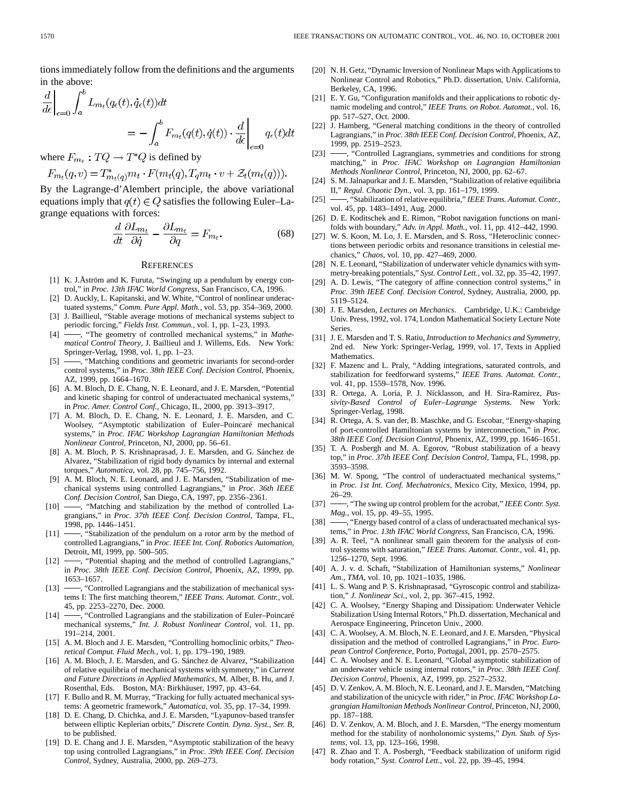tions immediately follow from the definitions and the arguments in the above:

$$
\frac{d}{d\epsilon}\Big|_{\epsilon=0} \int_{a}^{b} L_{m_{t}}(q_{\epsilon}(t), \dot{q}_{\epsilon}(t)) dt
$$
  
=  $-\int_{a}^{b} F_{m_{t}}(q(t), \dot{q}(t)) \cdot \frac{d}{d\epsilon}\Big|_{\epsilon=0} q_{\epsilon}(t) dt$ 

where  $F_{m_t} : TQ \to T^*Q$  is defined by

$$
F_{m_t}(q, v) = T_{m_t(q)}^* m_t \cdot F(m_t(q), T_q m_t \cdot v + \mathcal{Z}_t(m_t(q))).
$$

By the Lagrange-d'Alembert principle, the above variational equations imply that  $q(t) \in Q$  satisfies the following Euler–Lagrange equations with forces:

$$
\frac{d}{dt}\frac{\partial L_{m_t}}{\partial \dot{q}} - \frac{\partial L_{m_t}}{\partial q} = F_{m_t}.\tag{68}
$$

#### **REFERENCES**

- [1] K. J.Åström and K. Furuta, "Swinging up a pendulum by energy control," in *Proc. 13th IFAC World Congress*, San Francisco, CA, 1996.
- D. Auckly, L. Kapitanski, and W. White, "Control of nonlinear underactuated systems," *Comm. Pure Appl. Math.*, vol. 53, pp. 354–369, 2000.
- [3] J. Baillieul, "Stable average motions of mechanical systems subject to periodic forcing," *Fields Inst. Commun.*, vol. 1, pp. 1–23, 1993.
- [4]  $\longrightarrow$ , "The geometry of controlled mechanical systems," in *Mathematical Control Theory*, J. Baillieul and J. Willems, Eds. New York: Springer-Verlag, 1998, vol. 1, pp. 1–23.
- [5]  $\frac{1}{\sqrt{2}}$ , "Matching conditions and geometric invariants for second-order control systems," in *Proc. 38th IEEE Conf. Decision Control*, Phoenix, AZ, 1999, pp. 1664–1670.
- [6] A. M. Bloch, D. E. Chang, N. E. Leonard, and J. E. Marsden, "Potential and kinetic shaping for control of underactuated mechanical systems," in *Proc. Amer. Control Conf.*, Chicago, IL, 2000, pp. 3913–3917.
- [7] A. M. Bloch, D. E. Chang, N. E. Leonard, J. E. Marsden, and C. Woolsey, "Asymptotic stabilization of Euler–Poincaré mechanical systems," in *Proc. IFAC Workshop Lagrangian Hamiltonian Methods Nonlinear Control*, Princeton, NJ, 2000, pp. 56–61.
- [8] A. M. Bloch, P. S. Krishnaprasad, J. E. Marsden, and G. Sánchez de Alvarez, "Stabilization of rigid body dynamics by internal and external torques," *Automatica*, vol. 28, pp. 745–756, 1992.
- [9] A. M. Bloch, N. E. Leonard, and J. E. Marsden, "Stabilization of mechanical systems using controlled Lagrangians," in *Proc. 36th IEEE Conf. Decision Control*, San Diego, CA, 1997, pp. 2356–2361.
- [10]  $\rightarrow$ , "Matching and stabilization by the method of controlled Lagrangians," in *Proc. 37th IEEE Conf. Decision Control*, Tampa, FL, 1998, pp. 1446–1451.
- [11]  $\frac{1}{\sqrt{1-\frac{1}{\sqrt{1-\frac{1}{\sqrt{1-\frac{1}{\sqrt{1-\frac{1}{\sqrt{1-\frac{1}{\sqrt{1-\frac{1}{\sqrt{1-\frac{1}{\sqrt{1-\frac{1}{\sqrt{1-\frac{1}{\sqrt{1-\frac{1}{\sqrt{1-\frac{1}{\sqrt{1-\frac{1}{\sqrt{1-\frac{1}{\sqrt{1-\frac{1}{\sqrt{1-\frac{1}{\sqrt{1-\frac{1}{\sqrt{1-\frac{1}{\sqrt{1-\frac{1}{\sqrt{1-\frac{1}{\sqrt{1-\frac{1}{\sqrt{1-\frac{1}{\sqrt{1-\frac{1}{\sqrt{1-\frac{1}{\sqrt{1$ controlled Lagrangians," in *Proc. IEEE Int. Conf. Robotics Automation*, Detroit, MI, 1999, pp. 500–505.
- [12] -, "Potential shaping and the method of controlled Lagrangians," in *Proc. 38th IEEE Conf. Decision Control*, Phoenix, AZ, 1999, pp. 1653–1657.
- [13] -, "Controlled Lagrangians and the stabilization of mechanical systems I: The first matching theorem," *IEEE Trans. Automat. Contr.*, vol. 45, pp. 2253–2270, Dec. 2000.
- [14] -, "Controlled Lagrangians and the stabilization of Euler–Poincaré mechanical systems," *Int. J. Robust Nonlinear Control*, vol. 11, pp. 191–214, 2001.
- [15] A. M. Bloch and J. E. Marsden, "Controlling homoclinic orbits," *Theoretical Comput. Fluid Mech.*, vol. 1, pp. 179–190, 1989.
- [16] A. M. Bloch, J. E. Marsden, and G. Sánchez de Alvarez, "Stabilization of relative equilibria of mechanical systems with symmetry," in *Current and Future Directions in Applied Mathematics*, M. Alber, B. Hu, and J. Rosenthal, Eds. Boston, MA: Birkhäuser, 1997, pp. 43–64.
- [17] F. Bullo and R. M. Murray, "Tracking for fully actuated mechanical systems: A geometric framework," *Automatica*, vol. 35, pp. 17–34, 1999.
- [18] D. E. Chang, D. Chichka, and J. E. Marsden, "Lyapunov-based transfer between elliptic Keplerian orbits," *Discrete Contin. Dyna. Syst., Ser. B*, to be published.
- [19] D. E. Chang and J. E. Marsden, "Asymptotic stabilization of the heavy top using controlled Lagrangians," in *Proc. 39th IEEE Conf. Decision Control*, Sydney, Australia, 2000, pp. 269–273.
- [20] N. H. Getz, "Dynamic Inversion of Nonlinear Maps with Applications to Nonlinear Control and Robotics," Ph.D. dissertation, Univ. California, Berkeley, CA, 1996.
- [21] E. Y. Gu, "Configuration manifolds and their applications to robotic dynamic modeling and control," *IEEE Trans. on Robot. Automat.*, vol. 16, pp. 517–527, Oct. 2000.
- [22] J. Hamberg, "General matching conditions in the theory of controlled Lagrangians," in *Proc. 38th IEEE Conf. Decision Control*, Phoenix, AZ, 1999, pp. 2519–2523.
- [23] -, "Controlled Lagrangians, symmetries and conditions for strong matching," in *Proc. IFAC Workshop on Lagrangian Hamiltonian Methods Nonlinear Control*, Princeton, NJ, 2000, pp. 62–67.
- S. M. Jalnapurkar and J. E. Marsden, "Stabilization of relative equilibria II," *Regul. Chaotic Dyn.*, vol. 3, pp. 161–179, 1999.
- [25]  $\longrightarrow$ , "Stabilization of relative equilibria," *IEEE Trans. Automat. Contr.*, vol. 45, pp. 1483–1491, Aug. 2000.
- [26] D. E. Koditschek and E. Rimon, "Robot navigation functions on manifolds with boundary," *Adv. in Appl. Math.*, vol. 11, pp. 412–442, 1990.
- [27] W. S. Koon, M. Lo, J. E. Marsden, and S. Ross, "Heteroclinic connections between periodic orbits and resonance transitions in celestial mechanics," *Chaos*, vol. 10, pp. 427–469, 2000.
- [28] N. E. Leonard, "Stabilization of underwater vehicle dynamics with symmetry-breaking potentials," *Syst. Control Lett.*, vol. 32, pp. 35–42, 1997.
- [29] A. D. Lewis, "The category of affine connection control systems," in *Proc. 39th IEEE Conf. Decision Control*, Sydney, Australia, 2000, pp. 5119–5124.
- [30] J. E. Marsden, *Lectures on Mechanics*. Cambridge, U.K.: Cambridge Univ. Press, 1992, vol. 174, London Mathematical Society Lecture Note Series.
- [31] J. E. Marsden and T. S. Ratiu, *Introduction to Mechanics and Symmetry*, 2nd ed. New York: Springer-Verlag, 1999, vol. 17, Texts in Applied Mathematics.
- [32] F. Mazenc and L. Praly, "Adding integrations, saturated controls, and stabilization for feedforward systems," *IEEE Trans. Automat. Contr.*, vol. 41, pp. 1559–1578, Nov. 1996.
- [33] R. Ortega, A. Loria, P. J. Nicklasson, and H. Sira-Ramirez, *Passivity-Based Control of Euler–Lagrange Systems*. New York: Springer-Verlag, 1998.
- [34] R. Ortega, A. S. van der, B. Maschke, and G. Escobar, "Energy-shaping of port-controlled Hamiltonian systems by interconnection," in *Proc. 38th IEEE Conf. Decision Control*, Phoenix, AZ, 1999, pp. 1646–1651.
- [35] T. A. Posbergh and M. A. Egorov, "Robust stabilization of a heavy top," in *Proc. 37th IEEE Conf. Decision Control*, Tampa, FL, 1998, pp. 3593–3598.
- [36] M. W. Spong, "The control of underactuated mechanical systems," in *Proc. 1st Int. Conf. Mechatronics*, Mexico City, Mexico, 1994, pp. 26–29.
- [37]  $\rightarrow$  "The swing up control problem for the acrobat," *IEEE Contr. Syst. Mag.*, vol. 15, pp. 49–55, 1995.
- [38]  $\frac{1}{2}$ , "Energy based control of a class of underactuated mechanical systems," in *Proc. 13th IFAC World Congress*, San Francisco, CA, 1996.
- [39] A. R. Teel, "A nonlinear small gain theorem for the analysis of control systems with saturation," *IEEE Trans. Automat. Contr.*, vol. 41, pp. 1256–1270, Sept. 1996.
- [40] A. J. v. d. Schaft, "Stabilization of Hamiltonian systems," *Nonlinear Am., TMA*, vol. 10, pp. 1021–1035, 1986.
- L. S. Wang and P. S. Krishnaprasad, "Gyroscopic control and stabilization," *J. Nonlinear Sci.*, vol. 2, pp. 367–415, 1992.
- [42] C. A. Woolsey, "Energy Shaping and Dissipation: Underwater Vehicle Stabilization Using Internal Rotors," Ph.D. dissertation, Mechanical and Aerospace Engineering, Princeton Univ., 2000.
- [43] C. A. Woolsey, A. M. Bloch, N. E. Leonard, and J. E. Marsden, "Physical dissipation and the method of controlled Lagrangians," in *Proc. European Control Conference*, Porto, Portugal, 2001, pp. 2570–2575.
- [44] C. A. Woolsey and N. E. Leonard, "Global asymptotic stabilization of an underwater vehicle using internal rotors," in *Proc. 38th IEEE Conf. Decision Control*, Phoenix, AZ, 1999, pp. 2527–2532.
- [45] D. V. Zenkov, A. M. Bloch, N. E. Leonard, and J. E. Marsden, "Matching and stabilization of the unicycle with rider," in *Proc. IFAC Workshop Lagrangian Hamiltonian Methods Nonlinear Control*, Princeton, NJ, 2000, pp. 187–188.
- [46]  $\overline{D}$ . V. Zenkov, A. M. Bloch, and J. E. Marsden, "The energy momentum method for the stability of nonholonomic systems," *Dyn. Stab. of Systems*, vol. 13, pp. 123–166, 1998.
- [47] R. Zhao and T. A. Posbergh, "Feedback stabilization of uniform rigid body rotation," *Syst. Control Lett.*, vol. 22, pp. 39–45, 1994.